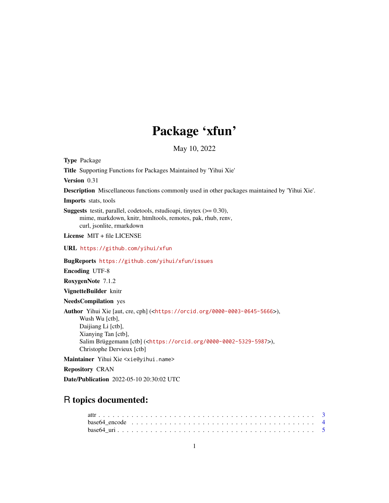# Package 'xfun'

May 10, 2022

<span id="page-0-0"></span>Type Package

Title Supporting Functions for Packages Maintained by 'Yihui Xie'

Version 0.31

Description Miscellaneous functions commonly used in other packages maintained by 'Yihui Xie'.

Imports stats, tools

**Suggests** testit, parallel, codetools, rstudioapi, tinytex  $(>= 0.30)$ , mime, markdown, knitr, htmltools, remotes, pak, rhub, renv, curl, jsonlite, rmarkdown

License MIT + file LICENSE

URL <https://github.com/yihui/xfun>

BugReports <https://github.com/yihui/xfun/issues>

Encoding UTF-8

RoxygenNote 7.1.2

VignetteBuilder knitr

NeedsCompilation yes

Author Yihui Xie [aut, cre, cph] (<<https://orcid.org/0000-0003-0645-5666>>), Wush Wu [ctb], Daijiang Li [ctb], Xianying Tan [ctb], Salim Brüggemann [ctb] (<<https://orcid.org/0000-0002-5329-5987>>), Christophe Dervieux [ctb]

Maintainer Yihui Xie <xie@yihui.name>

Repository CRAN

Date/Publication 2022-05-10 20:30:02 UTC

# R topics documented:

| base 64 encode $\ldots$ $\ldots$ $\ldots$ $\ldots$ $\ldots$ $\ldots$ $\ldots$ $\ldots$ $\ldots$ $\ldots$ $\ldots$ $\ldots$ $\ldots$ $\ldots$ $\ldots$ |  |  |  |  |  |  |  |  |  |  |  |  |  |  |  |  |  |  |  |  |
|-------------------------------------------------------------------------------------------------------------------------------------------------------|--|--|--|--|--|--|--|--|--|--|--|--|--|--|--|--|--|--|--|--|
|                                                                                                                                                       |  |  |  |  |  |  |  |  |  |  |  |  |  |  |  |  |  |  |  |  |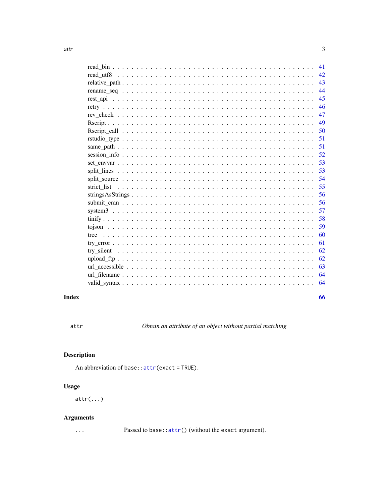<span id="page-2-0"></span>

| 41  |  |
|-----|--|
| 42. |  |
| 43  |  |
| 44  |  |
| 45  |  |
| 46  |  |
| 47  |  |
| 49  |  |
| 50  |  |
| 51  |  |
| 51  |  |
| 52  |  |
| 53  |  |
| 53  |  |
| 54  |  |
| 55  |  |
| 56  |  |
| 56  |  |
| 57  |  |
| 58  |  |
| 59  |  |
| 60  |  |
| 61  |  |
| 62  |  |
| 62  |  |
| 63  |  |
| 64  |  |
| 64  |  |
|     |  |

# **Index**

<span id="page-2-1"></span>attr

Obtain an attribute of an object without partial matching

# $\begin{minipage}{.4\linewidth} \textbf{Description} \end{minipage} \vspace{-0.5em}$

An abbreviation of base:: attr(exact = TRUE).

# **Usage**

 $attr(...)$ 

# **Arguments**

 $\ldots$ 

Passed to base:: attr() (without the exact argument).

66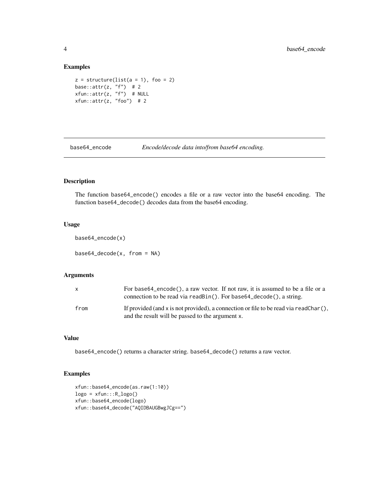# Examples

```
z = structure(list(a = 1), foo = 2)base::attr(z, "f") # 2
xfun::attr(z, "f") # NULL
xfun::attr(z, "foo") # 2
```
base64\_encode *Encode/decode data into/from base64 encoding.*

#### Description

The function base64\_encode() encodes a file or a raw vector into the base64 encoding. The function base64\_decode() decodes data from the base64 encoding.

#### Usage

```
base64_encode(x)
```
 $base64\_decode(x, from = NA)$ 

#### Arguments

| $\mathsf{x}$ | For base64_encode(), a raw vector. If not raw, it is assumed to be a file or a<br>connection to be read via read Bin(). For base 64_decode(), a string. |
|--------------|---------------------------------------------------------------------------------------------------------------------------------------------------------|
| from         | If provided (and x is not provided), a connection or file to be read via readChar $($ ),<br>and the result will be passed to the argument x.            |

# Value

base64\_encode() returns a character string. base64\_decode() returns a raw vector.

```
xfun::base64_encode(as.raw(1:10))
logo = xfun::R_logo()xfun::base64_encode(logo)
xfun::base64_decode("AQIDBAUGBwgJCg==")
```
<span id="page-3-0"></span>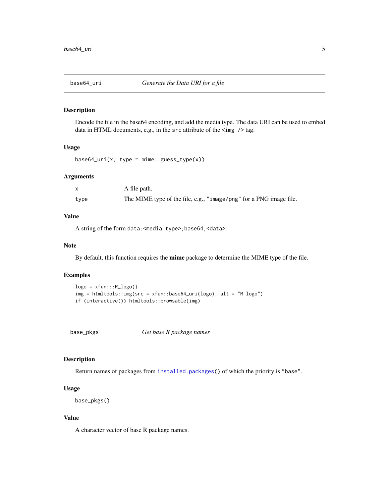<span id="page-4-0"></span>

Encode the file in the base64 encoding, and add the media type. The data URI can be used to embed data in HTML documents, e.g., in the src attribute of the  $\langle \rangle$  tag.

#### Usage

 $base64_uri(x, type = mine::guess_type(x))$ 

#### Arguments

|      | A file path.                                                       |
|------|--------------------------------------------------------------------|
| type | The MIME type of the file, e.g., "image/png" for a PNG image file. |

# Value

A string of the form data:<media type>;base64,<data>.

#### Note

By default, this function requires the mime package to determine the MIME type of the file.

#### Examples

```
logo = xfun::R_logo()img = htmltools::img(src = xfun::base64_uri(logo), alt = "R logo")
if (interactive()) htmltools::browsable(img)
```
base\_pkgs *Get base R package names*

#### Description

Return names of packages from [installed.packages\(](#page-0-0)) of which the priority is "base".

#### Usage

base\_pkgs()

#### Value

A character vector of base R package names.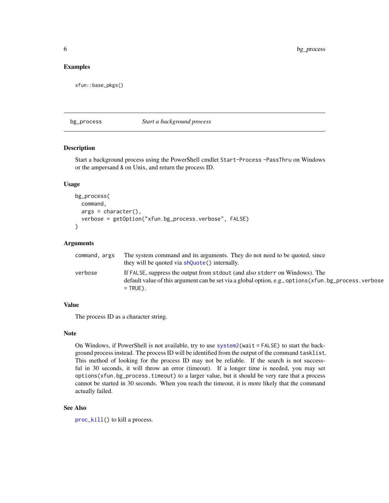#### <span id="page-5-0"></span>Examples

xfun::base\_pkgs()

bg\_process *Start a background process*

#### Description

Start a background process using the PowerShell cmdlet Start-Process -PassThru on Windows or the ampersand & on Unix, and return the process ID.

#### Usage

```
bg_process(
  command,
  args = character(),verbose = getOption("xfun.bg_process.verbose", FALSE)
)
```
# Arguments

| command, args | The system command and its arguments. They do not need to be quoted, since                            |
|---------------|-------------------------------------------------------------------------------------------------------|
|               | they will be quoted via shouote () internally.                                                        |
| verbose       | If FALSE, suppress the output from stdout (and also stder r on Windows). The                          |
|               | default value of this argument can be set via a global option, e.g., options (xfun.bg_process.verbose |
|               | $=$ TRUE).                                                                                            |

#### Value

The process ID as a character string.

#### Note

On Windows, if PowerShell is not available, try to use [system2\(](#page-0-0)wait = FALSE) to start the background process instead. The process ID will be identified from the output of the command tasklist. This method of looking for the process ID may not be reliable. If the search is not successful in 30 seconds, it will throw an error (timeout). If a longer time is needed, you may set options(xfun.bg\_process.timeout) to a larger value, but it should be very rare that a process cannot be started in 30 seconds. When you reach the timeout, it is more likely that the command actually failed.

#### See Also

[proc\\_kill\(](#page-36-1)) to kill a process.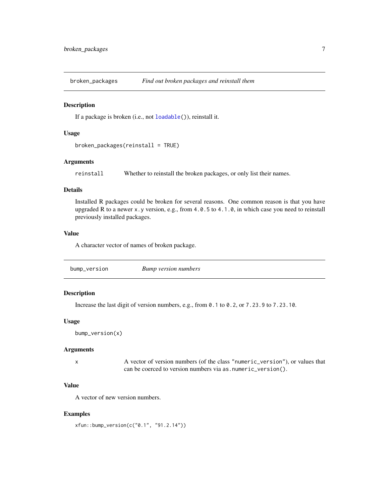<span id="page-6-0"></span>broken\_packages *Find out broken packages and reinstall them*

#### Description

If a package is broken (i.e., not [loadable\(](#page-33-1))), reinstall it.

# Usage

```
broken_packages(reinstall = TRUE)
```
#### Arguments

reinstall Whether to reinstall the broken packages, or only list their names.

#### Details

Installed R packages could be broken for several reasons. One common reason is that you have upgraded R to a newer x.y version, e.g., from 4.0.5 to 4.1.0, in which case you need to reinstall previously installed packages.

#### Value

A character vector of names of broken package.

|--|

# Description

Increase the last digit of version numbers, e.g., from 0.1 to 0.2, or 7.23.9 to 7.23.10.

#### Usage

```
bump_version(x)
```
# Arguments

x A vector of version numbers (of the class "numeric\_version"), or values that can be coerced to version numbers via as.numeric\_version().

#### Value

A vector of new version numbers.

#### Examples

xfun::bump\_version(c("0.1", "91.2.14"))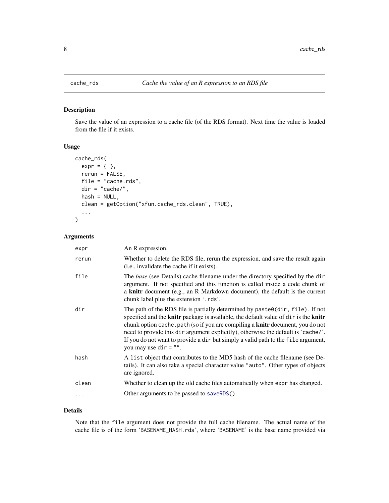<span id="page-7-0"></span>

Save the value of an expression to a cache file (of the RDS format). Next time the value is loaded from the file if it exists.

# Usage

```
cache_rds(
 expr = { },
  rerun = FALSE,
 file = "cache.rds",
 dir = "cache/",hash = NULL,clean = getOption("xfun.cache_rds.clean", TRUE),
  ...
)
```
# Arguments

| expr       | An R expression.                                                                                                                                                                                                                                                                                                                                                                                                                                                     |
|------------|----------------------------------------------------------------------------------------------------------------------------------------------------------------------------------------------------------------------------------------------------------------------------------------------------------------------------------------------------------------------------------------------------------------------------------------------------------------------|
| rerun      | Whether to delete the RDS file, rerun the expression, and save the result again<br>(i.e., invalidate the cache if it exists).                                                                                                                                                                                                                                                                                                                                        |
| file       | The base (see Details) cache filename under the directory specified by the dir<br>argument. If not specified and this function is called inside a code chunk of<br>a knitr document (e.g., an R Markdown document), the default is the current<br>chunk label plus the extension '.rds'.                                                                                                                                                                             |
| dir        | The path of the RDS file is partially determined by paste $\theta$ (dir, file). If not<br>specified and the knitr package is available, the default value of dir is the knitr<br>chunk option cache. path (so if you are compiling a knitr document, you do not<br>need to provide this dir argument explicitly), otherwise the default is 'cache/'.<br>If you do not want to provide a dir but simply a valid path to the file argument,<br>you may use $dir = "".$ |
| hash       | A list object that contributes to the MD5 hash of the cache filename (see De-<br>tails). It can also take a special character value "auto". Other types of objects<br>are ignored.                                                                                                                                                                                                                                                                                   |
| clean      | Whether to clean up the old cache files automatically when expr has changed.                                                                                                                                                                                                                                                                                                                                                                                         |
| $\ddots$ . | Other arguments to be passed to saveRDS().                                                                                                                                                                                                                                                                                                                                                                                                                           |
|            |                                                                                                                                                                                                                                                                                                                                                                                                                                                                      |

#### Details

Note that the file argument does not provide the full cache filename. The actual name of the cache file is of the form 'BASENAME\_HASH.rds', where 'BASENAME' is the base name provided via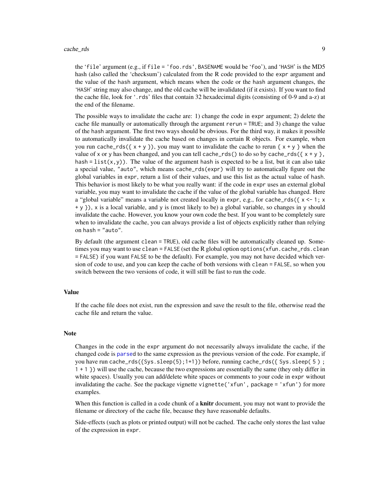<span id="page-8-0"></span>the 'file' argument (e.g., if file = 'foo.rds', BASENAME would be 'foo'), and 'HASH' is the MD5 hash (also called the 'checksum') calculated from the R code provided to the expr argument and the value of the hash argument, which means when the code or the hash argument changes, the 'HASH' string may also change, and the old cache will be invalidated (if it exists). If you want to find the cache file, look for '.rds' files that contain 32 hexadecimal digits (consisting of 0-9 and a-z) at the end of the filename.

The possible ways to invalidate the cache are: 1) change the code in expr argument; 2) delete the cache file manually or automatically through the argument rerun = TRUE; and 3) change the value of the hash argument. The first two ways should be obvious. For the third way, it makes it possible to automatically invalidate the cache based on changes in certain R objects. For example, when you run cache\_rds( $\{ x + y \}$ ), you may want to invalidate the cache to rerun  $\{ x + y \}$  when the value of x or y has been changed, and you can tell cache\_rds() to do so by cache\_rds( $\{x + y\}$ , hash = list(x,y)). The value of the argument hash is expected to be a list, but it can also take a special value, "auto", which means cache\_rds(expr) will try to automatically figure out the global variables in expr, return a list of their values, and use this list as the actual value of hash. This behavior is most likely to be what you really want: if the code in expr uses an external global variable, you may want to invalidate the cache if the value of the global variable has changed. Here a "global variable" means a variable not created locally in expr, e.g., for cache\_rds( $\{x \le -1; x\}$ + y }), x is a local variable, and y is (most likely to be) a global variable, so changes in y should invalidate the cache. However, you know your own code the best. If you want to be completely sure when to invalidate the cache, you can always provide a list of objects explicitly rather than relying on hash = "auto".

By default (the argument clean = TRUE), old cache files will be automatically cleaned up. Sometimes you may want to use clean = FALSE (set the R global option options (xfun.cache\_rds.clean = FALSE) if you want FALSE to be the default). For example, you may not have decided which version of code to use, and you can keep the cache of both versions with clean = FALSE, so when you switch between the two versions of code, it will still be fast to run the code.

#### Value

If the cache file does not exist, run the expression and save the result to the file, otherwise read the cache file and return the value.

#### Note

Changes in the code in the expr argument do not necessarily always invalidate the cache, if the changed code is [parsed](#page-0-0) to the same expression as the previous version of the code. For example, if you have run cache\_rds({Sys.sleep(5);1+1}) before, running cache\_rds({ Sys.sleep( 5 ) ; 1 + 1 }) will use the cache, because the two expressions are essentially the same (they only differ in white spaces). Usually you can add/delete white spaces or comments to your code in expr without invalidating the cache. See the package vignette vignette('xfun', package = 'xfun') for more examples.

When this function is called in a code chunk of a **knitr** document, you may not want to provide the filename or directory of the cache file, because they have reasonable defaults.

Side-effects (such as plots or printed output) will not be cached. The cache only stores the last value of the expression in expr.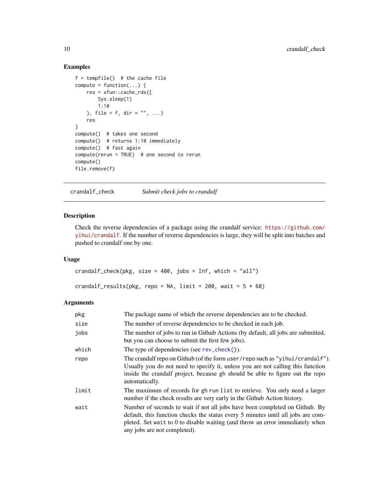# Examples

```
f = tempfile() # the cache file
compute = function(...) {
   res = xfun::cache_rds({
       Sys.sleep(1)
       1:10
   }, file = f, dir = ", ...)
   res
}
compute() # takes one second
compute() # returns 1:10 immediately
compute() # fast again
compute(rerun = TRUE) # one second to rerun
compute()
file.remove(f)
```
crandalf\_check *Submit check jobs to crandalf*

#### Description

Check the reverse dependencies of a package using the crandalf service: [https://github.com/](https://github.com/yihui/crandalf) [yihui/crandalf](https://github.com/yihui/crandalf). If the number of reverse dependencies is large, they will be split into batches and pushed to crandalf one by one.

# Usage

```
crandalf_check(pkg, size = 400, jobs = Inf, which = "all")
crandalf_results(pkg, repo = NA, limit = 200, wait = 5 * 60)
```

| pkg   | The package name of which the reverse dependencies are to be checked.                                                                                                                                                                                                            |
|-------|----------------------------------------------------------------------------------------------------------------------------------------------------------------------------------------------------------------------------------------------------------------------------------|
| size  | The number of reverse dependencies to be checked in each job.                                                                                                                                                                                                                    |
| jobs  | The number of jobs to run in Github Actions (by default, all jobs are submitted,<br>but you can choose to submit the first few jobs).                                                                                                                                            |
| which | The type of dependencies (see $rev_{\text{check}}()$ ).                                                                                                                                                                                                                          |
| repo  | The crandalf repo on Github (of the form user/repo such as "yihui/crandalf").<br>Usually you do not need to specify it, unless you are not calling this function<br>inside the crandalf project, because gh should be able to figure out the repo<br>automatically.              |
| limit | The maximum of records for gh run list to retrieve. You only need a larger<br>number if the check results are very early in the Github Action history.                                                                                                                           |
| wait  | Number of seconds to wait if not all jobs have been completed on Github. By<br>default, this function checks the status every 5 minutes until all jobs are com-<br>pleted. Set wait to 0 to disable waiting (and throw an error immediately when<br>any jobs are not completed). |

<span id="page-9-0"></span>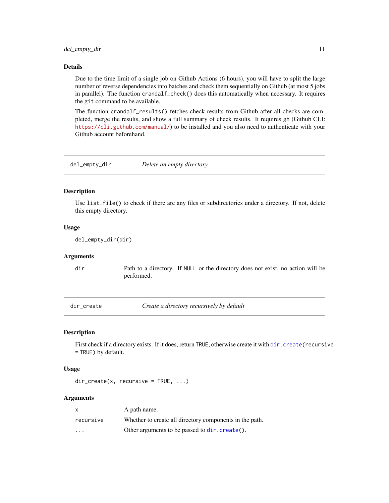#### <span id="page-10-0"></span>Details

Due to the time limit of a single job on Github Actions (6 hours), you will have to split the large number of reverse dependencies into batches and check them sequentially on Github (at most 5 jobs in parallel). The function crandalf\_check() does this automatically when necessary. It requires the git command to be available.

The function crandalf\_results() fetches check results from Github after all checks are completed, merge the results, and show a full summary of check results. It requires gh (Github CLI: <https://cli.github.com/manual/>) to be installed and you also need to authenticate with your Github account beforehand.

del\_empty\_dir *Delete an empty directory*

#### Description

Use list.file() to check if there are any files or subdirectories under a directory. If not, delete this empty directory.

#### Usage

del\_empty\_dir(dir)

#### Arguments

dir Path to a directory. If NULL or the directory does not exist, no action will be performed.

dir\_create *Create a directory recursively by default*

#### Description

First check if a directory exists. If it does, return TRUE, otherwise create it with [dir.create\(](#page-0-0)recursive = TRUE) by default.

#### Usage

dir\_create(x, recursive = TRUE, ...)

| X                       | A path name.                                            |
|-------------------------|---------------------------------------------------------|
| recursive               | Whether to create all directory components in the path. |
| $\cdot$ $\cdot$ $\cdot$ | Other arguments to be passed to dir. create().          |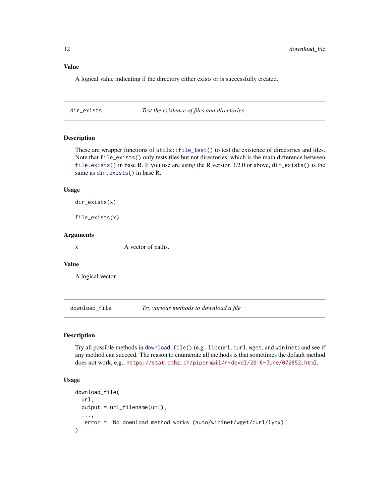# <span id="page-11-0"></span>Value

A logical value indicating if the directory either exists or is successfully created.

dir\_exists *Test the existence of files and directories*

# Description

These are wrapper functions of utils:[:file\\_test\(](#page-0-0)) to test the existence of directories and files. Note that file\_exists() only tests files but not directories, which is the main difference between [file.exists\(](#page-0-0)) in base R. If you use are using the R version 3.2.0 or above, dir\_exists() is the same as [dir.exists\(](#page-0-0)) in base R.

#### Usage

```
dir_exists(x)
```
file\_exists(x)

#### Arguments

x A vector of paths.

#### Value

A logical vector.

download\_file *Try various methods to download a file*

# Description

Try all possible methods in [download.file\(](#page-0-0)) (e.g., libcurl, curl, wget, and wininet) and see if any method can succeed. The reason to enumerate all methods is that sometimes the default method does not work, e.g., <https://stat.ethz.ch/pipermail/r-devel/2016-June/072852.html>.

# Usage

```
download_file(
  url,
  output = url_filename(url),
  ...,
  .error = "No download method works (auto/wininet/wget/curl/lynx)"
\mathcal{E}
```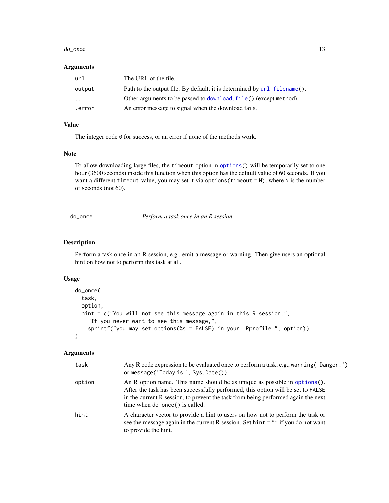#### <span id="page-12-0"></span>do\_once 13

# Arguments

| url      | The URL of the file.                                                        |
|----------|-----------------------------------------------------------------------------|
| output   | Path to the output file. By default, it is determined by $url_filename()$ . |
| $\cdots$ | Other arguments to be passed to download, file() (except method).           |
| error.   | An error message to signal when the download fails.                         |

# Value

The integer code 0 for success, or an error if none of the methods work.

#### Note

To allow downloading large files, the timeout option in [options\(](#page-0-0)) will be temporarily set to one hour (3600 seconds) inside this function when this option has the default value of 60 seconds. If you want a different timeout value, you may set it via options(timeout = N), where N is the number of seconds (not 60).

# do\_once *Perform a task once in an R session*

# Description

Perform a task once in an R session, e.g., emit a message or warning. Then give users an optional hint on how not to perform this task at all.

#### Usage

```
do_once(
  task,
  option,
  hint = c("You will not see this message again in this R session.",
    "If you never want to see this message,",
    sprintf("you may set options(%s = FALSE) in your .Rprofile.", option))
\mathcal{E}
```

| task   | Any R code expression to be evaluated once to perform a task, e.g., warning ('Danger!')<br>or message('Today is', Sys.Date()).                                                                                                                                                           |
|--------|------------------------------------------------------------------------------------------------------------------------------------------------------------------------------------------------------------------------------------------------------------------------------------------|
| option | An R option name. This name should be as unique as possible in options $()$ .<br>After the task has been successfully performed, this option will be set to FALSE<br>in the current R session, to prevent the task from being performed again the next<br>time when do_once() is called. |
| hint   | A character vector to provide a hint to users on how not to perform the task or<br>see the message again in the current R session. Set hint $=$ "" if you do not want<br>to provide the hint.                                                                                            |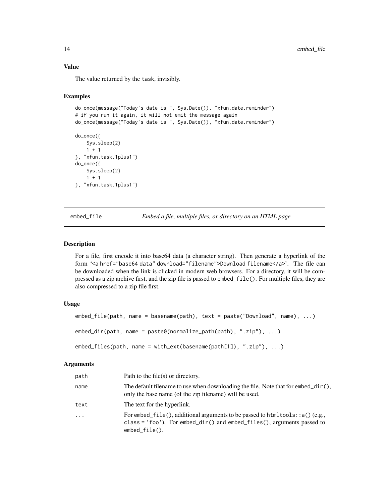# Value

The value returned by the task, invisibly.

# Examples

```
do_once(message("Today's date is ", Sys.Date()), "xfun.date.reminder")
# if you run it again, it will not emit the message again
do_once(message("Today's date is ", Sys.Date()), "xfun.date.reminder")
do_once({
   Sys.sleep(2)
    1 + 1}, "xfun.task.1plus1")
do_once({
    Sys.sleep(2)
    1 + 1}, "xfun.task.1plus1")
```
embed\_file *Embed a file, multiple files, or directory on an HTML page*

#### Description

For a file, first encode it into base64 data (a character string). Then generate a hyperlink of the form '<a href="base64 data" download="filename">Download filename</a>'. The file can be downloaded when the link is clicked in modern web browsers. For a directory, it will be compressed as a zip archive first, and the zip file is passed to embed\_file(). For multiple files, they are also compressed to a zip file first.

#### Usage

```
embed_file(path, name = basename(path), text = paste("Download", name), ...)
embed_dir(path, name = paste0(normalize_path(path), ".zip"), ...)
embed_files(path, name = with_ext(basename(path[1]), ".zip"), ...)
```

| path | Path to the file(s) or directory.                                                                                                                                                  |
|------|------------------------------------------------------------------------------------------------------------------------------------------------------------------------------------|
| name | The default filename to use when downloading the file. Note that for $embed\_dir()$ ,<br>only the base name (of the zip filename) will be used.                                    |
| text | The text for the hyperlink.                                                                                                                                                        |
| .    | For embed_file(), additional arguments to be passed to html tools: : $a()$ (e.g.,<br>class = $'$ foo'). For embed_dir() and embed_files(), arguments passed to<br>$embed_file()$ . |

<span id="page-13-0"></span>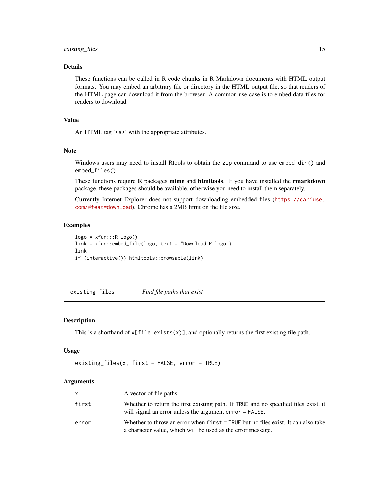# <span id="page-14-0"></span>existing\_files 15

# Details

These functions can be called in R code chunks in R Markdown documents with HTML output formats. You may embed an arbitrary file or directory in the HTML output file, so that readers of the HTML page can download it from the browser. A common use case is to embed data files for readers to download.

# Value

An HTML tag '<a>' with the appropriate attributes.

#### Note

Windows users may need to install Rtools to obtain the zip command to use embed\_dir() and embed\_files().

These functions require R packages mime and htmltools. If you have installed the rmarkdown package, these packages should be available, otherwise you need to install them separately.

Currently Internet Explorer does not support downloading embedded files ([https://caniuse.](https://caniuse.com/#feat=download) [com/#feat=download](https://caniuse.com/#feat=download)). Chrome has a 2MB limit on the file size.

#### Examples

```
logo = xfun::R_logo()link = xfun::embed_file(logo, text = "Download R logo")
link
if (interactive()) htmltools::browsable(link)
```
existing\_files *Find file paths that exist*

#### Description

This is a shorthand of  $x[file.exists(x)],$  and optionally returns the first existing file path.

#### Usage

```
existing_files(x, first = FALSE, error = TRUE)
```

| X     | A vector of file paths.                                                                                                                         |
|-------|-------------------------------------------------------------------------------------------------------------------------------------------------|
| first | Whether to return the first existing path. If TRUE and no specified files exist, it<br>will signal an error unless the argument error = FALSE.  |
| error | Whether to throw an error when first = TRUE but no files exist. It can also take<br>a character value, which will be used as the error message. |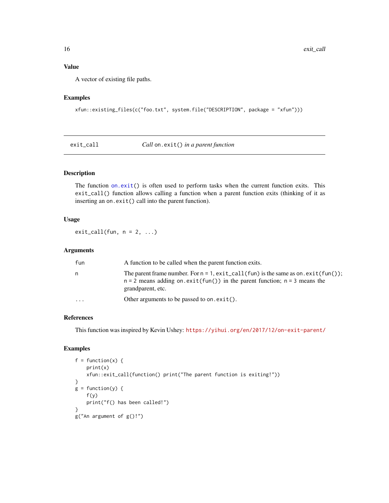# Value

A vector of existing file paths.

# Examples

```
xfun::existing_files(c("foo.txt", system.file("DESCRIPTION", package = "xfun")))
```
exit\_call *Call* on.exit() *in a parent function*

# Description

The function [on.exit\(](#page-0-0)) is often used to perform tasks when the current function exits. This exit\_call() function allows calling a function when a parent function exits (thinking of it as inserting an on.exit() call into the parent function).

# Usage

 $exit_call(fun, n = 2, ...)$ 

#### Arguments

| fun       | A function to be called when the parent function exits.                                                                                                                                           |  |
|-----------|---------------------------------------------------------------------------------------------------------------------------------------------------------------------------------------------------|--|
| n         | The parent frame number. For $n = 1$ , $exit\_call(fun)$ is the same as on. $exit(fun))$ ;<br>$n = 2$ means adding on. exit(fun()) in the parent function; $n = 3$ means the<br>grandparent, etc. |  |
| $\ddotsc$ | Other arguments to be passed to on. $exit()$ .                                                                                                                                                    |  |

# References

This function was inspired by Kevin Ushey: <https://yihui.org/en/2017/12/on-exit-parent/>

```
f = function(x) {
   print(x)
   xfun::exit_call(function() print("The parent function is exiting!"))
}
g = function(y) {
    f(y)print("f() has been called!")
}
g("An argument of g()!")
```
<span id="page-15-0"></span>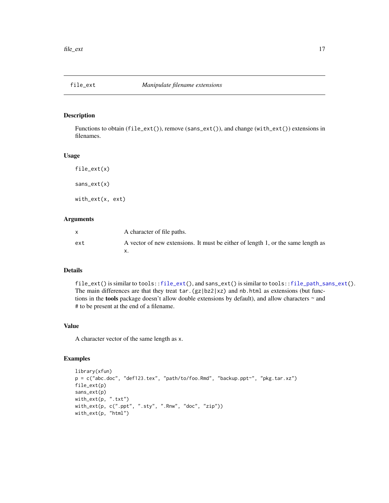<span id="page-16-1"></span><span id="page-16-0"></span>

Functions to obtain (file\_ext()), remove (sans\_ext()), and change (with\_ext()) extensions in filenames.

#### Usage

file\_ext(x) sans\_ext(x)

with\_ext(x, ext)

# Arguments

|     | A character of file paths.                                                       |
|-----|----------------------------------------------------------------------------------|
| ext | A vector of new extensions. It must be either of length 1, or the same length as |
|     |                                                                                  |

# Details

file\_ext() is similar to tools:[:file\\_ext\(](#page-16-1)), and sans\_ext() is similar to tools:[:file\\_path\\_sans\\_ext\(](#page-0-0)). The main differences are that they treat  $\tan (gz|bz2|xz)$  and nb.html as extensions (but functions in the tools package doesn't allow double extensions by default), and allow characters ~ and # to be present at the end of a filename.

#### Value

A character vector of the same length as x.

```
library(xfun)
p = c("abc.doc", "def123.tex", "path/to/foo.Rmd", "backup.ppt~", "pkg.tar.xz")
file_ext(p)
sans_ext(p)
with_ext(p, ".txt")
with_ext(p, c(".ppt", ".sty", ".Rnw", "doc", "zip"))
with_ext(p, "html")
```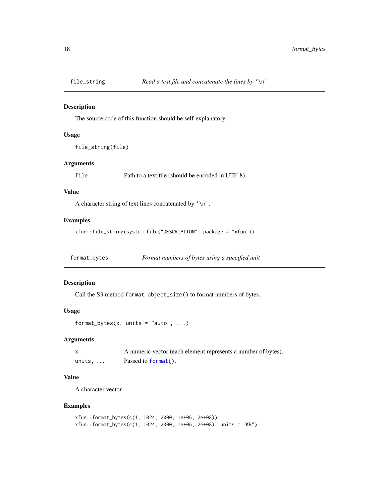<span id="page-17-0"></span>

The source code of this function should be self-explanatory.

#### Usage

file\_string(file)

# Arguments

file Path to a text file (should be encoded in UTF-8).

#### Value

A character string of text lines concatenated by '\n'.

# Examples

xfun::file\_string(system.file("DESCRIPTION", package = "xfun"))

format\_bytes *Format numbers of bytes using a specified unit*

# Description

Call the S3 method format.object\_size() to format numbers of bytes.

# Usage

```
format_bytes(x, units = "auto", \dots)
```
#### Arguments

|                 | A numeric vector (each element represents a number of bytes). |
|-----------------|---------------------------------------------------------------|
| units, $\ldots$ | Passed to $format()$ .                                        |

# Value

A character vector.

```
xfun::format_bytes(c(1, 1024, 2000, 1e+06, 2e+08))
xfun::format_bytes(c(1, 1024, 2000, 1e+06, 2e+08), units = "KB")
```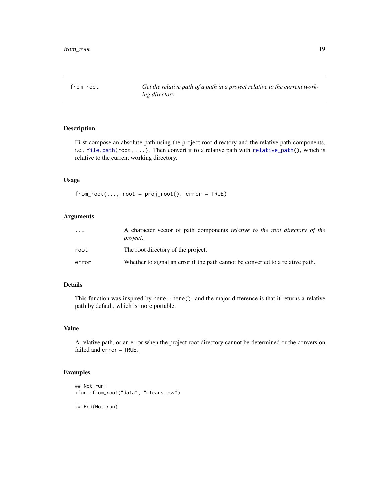<span id="page-18-0"></span>

First compose an absolute path using the project root directory and the relative path components, i.e., [file.path\(](#page-0-0)root, ...). Then convert it to a relative path with [relative\\_path\(](#page-42-1)), which is relative to the current working directory.

# Usage

 $from\_root(..., root = proj\_root()$ ,  $error = TRUE)$ 

# Arguments

| $\ddotsc$ | A character vector of path components <i>relative to the root directory of the</i><br><i>project.</i> |
|-----------|-------------------------------------------------------------------------------------------------------|
| root      | The root directory of the project.                                                                    |
| error     | Whether to signal an error if the path cannot be converted to a relative path.                        |

# Details

This function was inspired by here::here(), and the major difference is that it returns a relative path by default, which is more portable.

#### Value

A relative path, or an error when the project root directory cannot be determined or the conversion failed and error = TRUE.

```
## Not run:
xfun::from_root("data", "mtcars.csv")
## End(Not run)
```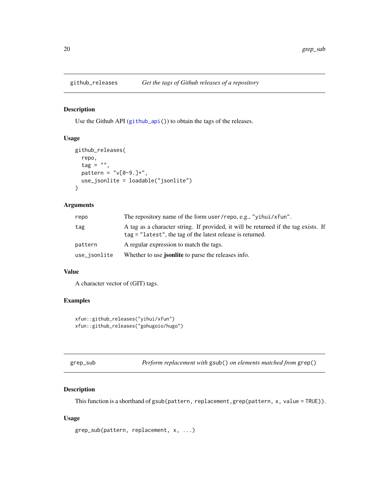<span id="page-19-0"></span>

Use the Github API ([github\\_api\(](#page-44-1))) to obtain the tags of the releases.

# Usage

```
github_releases(
  repo,
  tag = "",
  pattern = "v[0-9.]+",use_jsonlite = loadable("jsonlite")
\mathcal{E}
```
#### Arguments

| repo         | The repository name of the form user/repo, e.g., "yihui/xfun".                                                                                      |  |  |
|--------------|-----------------------------------------------------------------------------------------------------------------------------------------------------|--|--|
| tag          | A tag as a character string. If provided, it will be returned if the tag exists. If<br>$tag = "latest",$ the tag of the latest release is returned. |  |  |
| pattern      | A regular expression to match the tags.                                                                                                             |  |  |
| use_jsonlite | Whether to use <b>jsonlite</b> to parse the releases info.                                                                                          |  |  |

#### Value

A character vector of (GIT) tags.

# Examples

```
xfun::github_releases("yihui/xfun")
xfun::github_releases("gohugoio/hugo")
```

| grep_sub | Perform replacement with gsub() on elements matched from grep() |  |  |
|----------|-----------------------------------------------------------------|--|--|
|          |                                                                 |  |  |

# Description

This function is a shorthand of gsub(pattern, replacement,grep(pattern, x, value = TRUE)).

#### Usage

```
grep_sub(pattern, replacement, x, ...)
```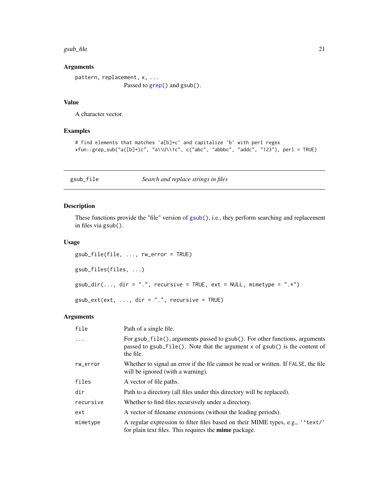#### <span id="page-20-0"></span> $gsub_file$  21

# Arguments

```
pattern, replacement, x, ...
              grep() and gsub().
```
#### Value

A character vector.

#### Examples

```
# find elements that matches 'a[b]+c' and capitalize 'b' with perl regex
xfun::grep_sub("a([b]+)c", "a\\U\\1c", c("abc", "abbbc", "addc", "123"), perl = TRUE)
```
gsub\_file *Search and replace strings in files*

# Description

These functions provide the "file" version of [gsub\(](#page-0-0)), i.e., they perform searching and replacement in files via gsub().

#### Usage

```
gsub_file(file, ..., rw_error = TRUE)
gsub_files(files, ...)
gsub\_dir(..., dir = ".", recursive = TRUE, ext = NULL, mimetype = ".*")
gsub\_ext(ext, ..., dir = ".", recursive = TRUE)
```

| file      | Path of a single file.                                                                                                                                                  |  |  |
|-----------|-------------------------------------------------------------------------------------------------------------------------------------------------------------------------|--|--|
| .         | For gsub_file(), arguments passed to gsub(). For other functions, arguments<br>passed to gsub_file(). Note that the argument x of gsub() is the content of<br>the file. |  |  |
| rw_error  | Whether to signal an error if the file cannot be read or written. If FALSE, the file<br>will be ignored (with a warning).                                               |  |  |
| files     | A vector of file paths.                                                                                                                                                 |  |  |
| dir       | Path to a directory (all files under this directory will be replaced).                                                                                                  |  |  |
| recursive | Whether to find files recursively under a directory.                                                                                                                    |  |  |
| ext       | A vector of filename extensions (without the leading periods).                                                                                                          |  |  |
| mimetype  | A regular expression to filter files based on their MIME types, e.g., ' * text/'<br>for plain text files. This requires the <b>mime</b> package.                        |  |  |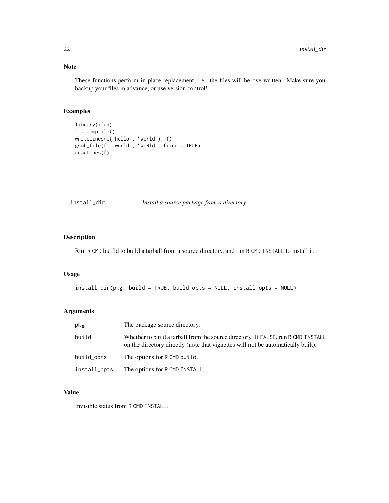# Note

These functions perform in-place replacement, i.e., the files will be overwritten. Make sure you backup your files in advance, or use version control!

# Examples

```
library(xfun)
f = tempfile()
writeLines(c("hello", "world"), f)
gsub_file(f, "world", "woRld", fixed = TRUE)
readLines(f)
```
install\_dir *Install a source package from a directory*

# Description

Run R CMD build to build a tarball from a source directory, and run R CMD INSTALL to install it.

# Usage

```
install_dir(pkg, build = TRUE, build_opts = NULL, install_opts = NULL)
```
# Arguments

| pkg          | The package source directory.                                                                                                                                         |
|--------------|-----------------------------------------------------------------------------------------------------------------------------------------------------------------------|
| build        | Whether to build a tarball from the source directory. If FALSE, run R CMD INSTALL<br>on the directory directly (note that vignettes will not be automatically built). |
| build_opts   | The options for R CMD build.                                                                                                                                          |
| install_opts | The options for R CMD INSTALL.                                                                                                                                        |

# Value

Invisible status from R CMD INSTALL.

<span id="page-21-0"></span>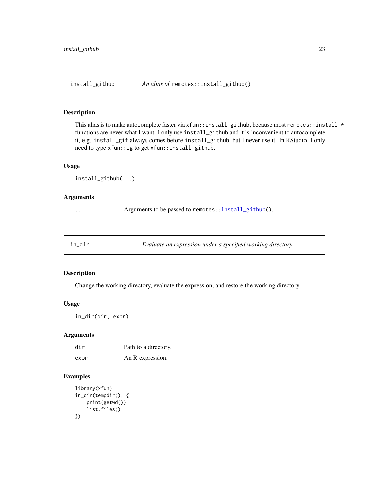<span id="page-22-1"></span><span id="page-22-0"></span>

This alias is to make autocomplete faster via xfun::install\_github, because most remotes::install\_\* functions are never what I want. I only use install\_github and it is inconvenient to autocomplete it, e.g. install\_git always comes before install\_github, but I never use it. In RStudio, I only need to type xfun::ig to get xfun::install\_github.

#### Usage

```
install_github(...)
```
#### Arguments

... Arguments to be passed to remotes:[:install\\_github\(](#page-22-1)).

<span id="page-22-2"></span>

| in dir | Evaluate an expression under a specified working directory |  |
|--------|------------------------------------------------------------|--|
|--------|------------------------------------------------------------|--|

# Description

Change the working directory, evaluate the expression, and restore the working directory.

# Usage

in\_dir(dir, expr)

# Arguments

| dir  | Path to a directory. |
|------|----------------------|
| expr | An R expression.     |

```
library(xfun)
in_dir(tempdir(), {
   print(getwd())
    list.files()
})
```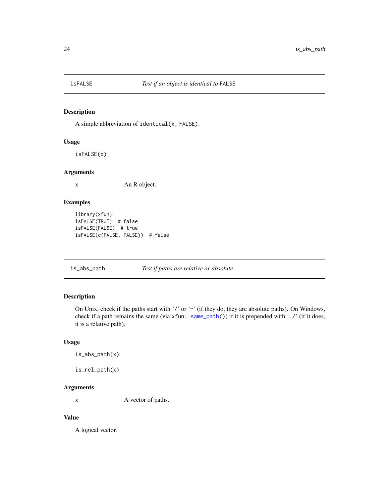<span id="page-23-0"></span>

A simple abbreviation of identical(x, FALSE).

# Usage

isFALSE(x)

#### Arguments

x An R object.

# Examples

```
library(xfun)
isFALSE(TRUE) # false
isFALSE(FALSE) # true
isFALSE(c(FALSE, FALSE)) # false
```
is\_abs\_path *Test if paths are relative or absolute*

# Description

On Unix, check if the paths start with '/' or '~' (if they do, they are absolute paths). On Windows, check if a path remains the same (via xfun:[:same\\_path\(](#page-50-1))) if it is prepended with './' (if it does, it is a relative path).

#### Usage

```
is_abs_path(x)
```

```
is_rel_path(x)
```
# Arguments

x A vector of paths.

#### Value

A logical vector.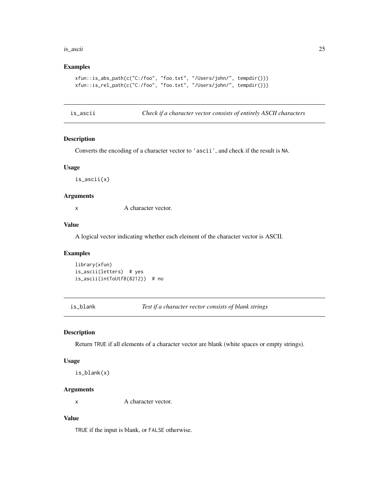#### <span id="page-24-0"></span>is\_ascii 25

#### Examples

```
xfun::is_abs_path(c("C:/foo", "foo.txt", "/Users/john/", tempdir()))
xfun::is_rel_path(c("C:/foo", "foo.txt", "/Users/john/", tempdir()))
```
is\_ascii *Check if a character vector consists of entirely ASCII characters*

#### Description

Converts the encoding of a character vector to 'ascii', and check if the result is NA.

# Usage

is\_ascii(x)

#### Arguments

x A character vector.

#### Value

A logical vector indicating whether each element of the character vector is ASCII.

#### Examples

library(xfun) is\_ascii(letters) # yes is\_ascii(intToUtf8(8212)) # no

is\_blank *Test if a character vector consists of blank strings*

### Description

Return TRUE if all elements of a character vector are blank (white spaces or empty strings).

#### Usage

is\_blank(x)

# Arguments

x A character vector.

# Value

TRUE if the input is blank, or FALSE otherwise.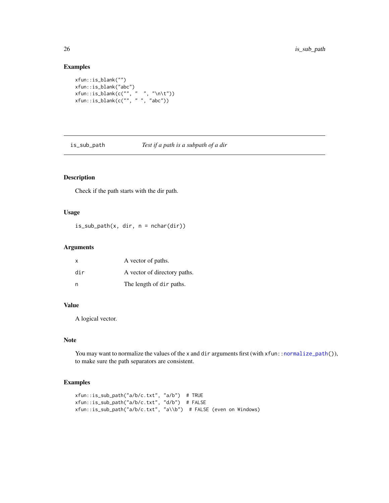# Examples

```
xfun::is_blank("")
xfun::is_blank("abc")
xfun::is_blank(c("", " ", "\n\t"))
xfun::is_blank(c("", " ", "abc"))
```
is\_sub\_path *Test if a path is a subpath of a dir*

# Description

Check if the path starts with the dir path.

# Usage

 $is\_sub\_path(x, dir, n = nchar(dir))$ 

# Arguments

| X   | A vector of paths.           |
|-----|------------------------------|
| dir | A vector of directory paths. |
| n   | The length of dir paths.     |

# Value

A logical vector.

# Note

You may want to normalize the values of the x and dir arguments first (with xfun:[:normalize\\_path\(](#page-31-1))), to make sure the path separators are consistent.

```
xfun::is_sub_path("a/b/c.txt", "a/b") # TRUE
xfun::is_sub_path("a/b/c.txt", "d/b") # FALSE
xfun::is_sub_path("a/b/c.txt", "a\\b") # FALSE (even on Windows)
```
<span id="page-25-0"></span>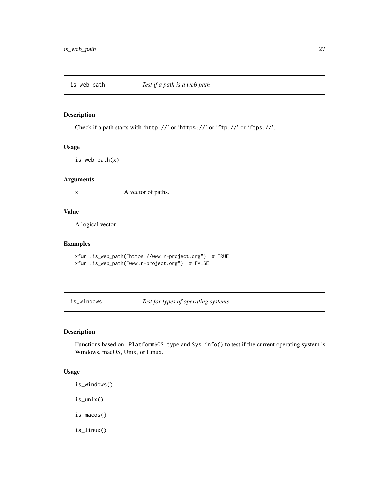<span id="page-26-0"></span>

Check if a path starts with 'http://' or 'https://' or 'ftp://' or 'ftps://'.

#### Usage

```
is_web_path(x)
```
# Arguments

x A vector of paths.

# Value

A logical vector.

# Examples

```
xfun::is_web_path("https://www.r-project.org") # TRUE
xfun::is_web_path("www.r-project.org") # FALSE
```
is\_windows *Test for types of operating systems*

# Description

Functions based on .Platform\$OS.type and Sys.info() to test if the current operating system is Windows, macOS, Unix, or Linux.

#### Usage

is\_windows() is\_unix()

is\_macos()

is\_linux()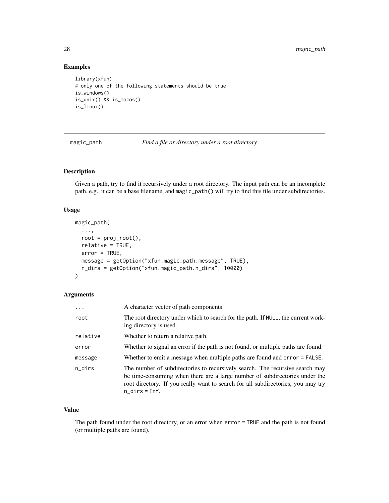# Examples

```
library(xfun)
# only one of the following statements should be true
is_windows()
is_unix() && is_macos()
is_linux()
```
magic\_path *Find a file or directory under a root directory*

# Description

Given a path, try to find it recursively under a root directory. The input path can be an incomplete path, e.g., it can be a base filename, and magic\_path() will try to find this file under subdirectories.

# Usage

```
magic_path(
  ...,
 root = proj\_root(),
 relative = TRUE,
 error = TRUE,
 message = getOption("xfun.magic_path.message", TRUE),
 n_dirs = getOption("xfun.magic_path.n_dirs", 10000)
\mathcal{E}
```
# Arguments

| $\cdots$ | A character vector of path components.                                                                                                                                                                                                                              |
|----------|---------------------------------------------------------------------------------------------------------------------------------------------------------------------------------------------------------------------------------------------------------------------|
| root     | The root directory under which to search for the path. If NULL, the current work-<br>ing directory is used.                                                                                                                                                         |
| relative | Whether to return a relative path.                                                                                                                                                                                                                                  |
| error    | Whether to signal an error if the path is not found, or multiple paths are found.                                                                                                                                                                                   |
| message  | Whether to emit a message when multiple paths are found and error = FALSE.                                                                                                                                                                                          |
| n_dirs   | The number of subdirectories to recursively search. The recursive search may<br>be time-consuming when there are a large number of subdirectories under the<br>root directory. If you really want to search for all subdirectories, you may try<br>$n\_dirs = Inf.$ |

# Value

The path found under the root directory, or an error when error = TRUE and the path is not found (or multiple paths are found).

<span id="page-27-0"></span>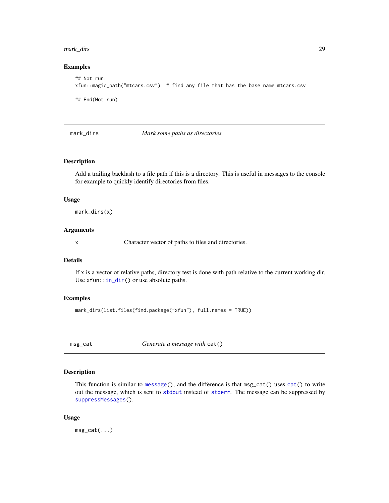#### <span id="page-28-0"></span>mark\_dirs 29

#### Examples

```
## Not run:
xfun::magic_path("mtcars.csv") # find any file that has the base name mtcars.csv
## End(Not run)
```
mark\_dirs *Mark some paths as directories*

# Description

Add a trailing backlash to a file path if this is a directory. This is useful in messages to the console for example to quickly identify directories from files.

#### Usage

mark\_dirs(x)

# Arguments

x Character vector of paths to files and directories.

#### Details

If  $x$  is a vector of relative paths, directory test is done with path relative to the current working dir. Use  $xfun::in\_dir()$  or use absolute paths.

#### Examples

```
mark_dirs(list.files(find.package("xfun"), full.names = TRUE))
```
msg\_cat *Generate a message with* cat()

#### Description

This function is similar to [message\(](#page-0-0)), and the difference is that msg\_cat() uses [cat\(](#page-0-0)) to write out the message, which is sent to [stdout](#page-0-0) instead of [stderr](#page-0-0). The message can be suppressed by [suppressMessages\(](#page-0-0)).

#### Usage

msg\_cat(...)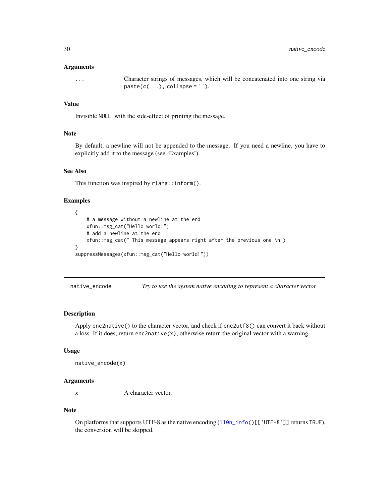#### <span id="page-29-0"></span>Arguments

... Character strings of messages, which will be concatenated into one string via  $pastec(c(...), collapse = '''.$ 

# Value

Invisible NULL, with the side-effect of printing the message.

#### Note

By default, a newline will not be appended to the message. If you need a newline, you have to explicitly add it to the message (see 'Examples').

#### See Also

This function was inspired by rlang::inform().

#### Examples

```
{
    # a message without a newline at the end
   xfun::msg_cat("Hello world!")
    # add a newline at the end
   xfun::msg_cat(" This message appears right after the previous one.\n")
}
suppressMessages(xfun::msg_cat("Hello world!"))
```
native\_encode *Try to use the system native encoding to represent a character vector*

# Description

Apply enc2native() to the character vector, and check if enc2utf8() can convert it back without a loss. If it does, return enc2native $(x)$ , otherwise return the original vector with a warning.

#### Usage

```
native_encode(x)
```
#### Arguments

x A character vector.

#### Note

On platforms that supports UTF-8 as the native encoding ([l10n\\_info\(](#page-0-0))[['UTF-8']] returns TRUE), the conversion will be skipped.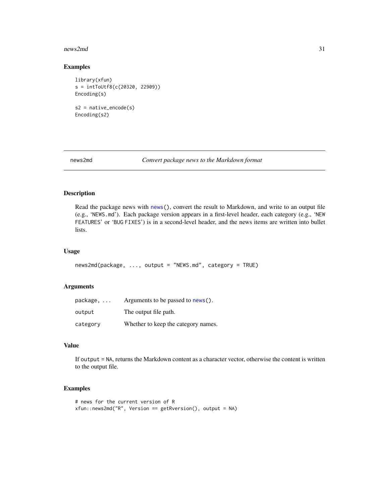#### <span id="page-30-0"></span>news2md 31

# Examples

```
library(xfun)
s = intToUtf8(c(20320, 22909))
Encoding(s)
s2 = native_encode(s)
Encoding(s2)
```
news2md *Convert package news to the Markdown format*

# Description

Read the package news with [news\(](#page-0-0)), convert the result to Markdown, and write to an output file (e.g., 'NEWS.md'). Each package version appears in a first-level header, each category (e.g., 'NEW FEATURES' or 'BUG FIXES') is in a second-level header, and the news items are written into bullet lists.

# Usage

```
news2md(package, ..., output = "NEWS.md", category = TRUE)
```
# Arguments

| package, | Arguments to be passed to news().   |
|----------|-------------------------------------|
| output   | The output file path.               |
| category | Whether to keep the category names. |

# Value

If output = NA, returns the Markdown content as a character vector, otherwise the content is written to the output file.

```
# news for the current version of R
xfun::news2md("R", Version == getRversion(), output = NA)
```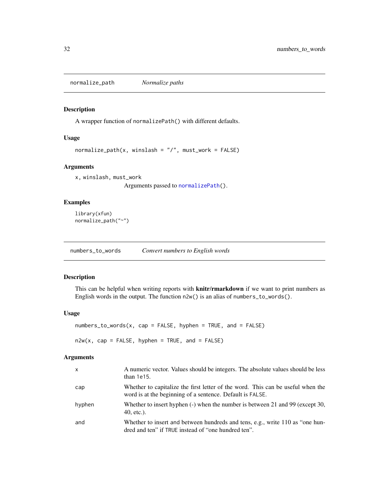<span id="page-31-1"></span><span id="page-31-0"></span>normalize\_path *Normalize paths*

#### Description

A wrapper function of normalizePath() with different defaults.

#### Usage

normalize\_path(x, winslash = "/", must\_work = FALSE)

# Arguments

x, winslash, must\_work Arguments passed to [normalizePath\(](#page-0-0)).

Examples

```
library(xfun)
normalize_path("~")
```
numbers\_to\_words *Convert numbers to English words*

#### Description

This can be helpful when writing reports with **knitr/rmarkdown** if we want to print numbers as English words in the output. The function n2w() is an alias of numbers\_to\_words().

#### Usage

```
numbers_to_words(x, cap = FALSE, hyphen = TRUE, and = FALSE)n2w(x, cap = FALSE, hyphen = TRUE, and = FALSE)
```

| $\mathsf{x}$ | A numeric vector. Values should be integers. The absolute values should be less<br>than $1e15$ .                                             |
|--------------|----------------------------------------------------------------------------------------------------------------------------------------------|
| cap          | Whether to capitalize the first letter of the word. This can be useful when the<br>word is at the beginning of a sentence. Default is FALSE. |
| hyphen       | Whether to insert hyphen (-) when the number is between 21 and 99 (except 30,<br>40, etc.).                                                  |
| and          | Whether to insert and between hundreds and tens, e.g., write 110 as "one hun-<br>dred and ten" if TRUE instead of "one hundred ten".         |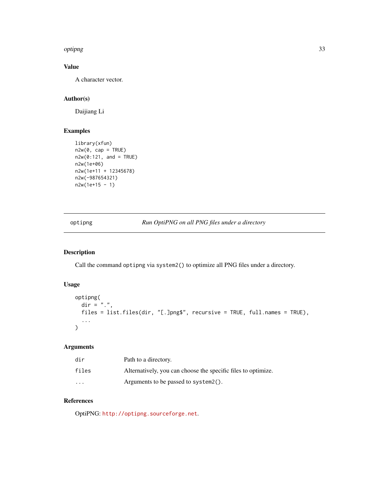#### <span id="page-32-0"></span>optipng 33

# Value

A character vector.

# Author(s)

Daijiang Li

# Examples

```
library(xfun)
n2w(0, cap = TRUE)n2w(0:121, and = TRUE)n2w(1e+06)
n2w(1e+11 + 12345678)
n2w(-987654321)
n2w(1e+15 - 1)
```
optipng *Run OptiPNG on all PNG files under a directory*

# Description

Call the command optipng via system2() to optimize all PNG files under a directory.

# Usage

```
optipng(
  \text{dir} = "."files = list.files(dir, "[.]png$", recursive = TRUE, full.names = TRUE),
  ...
\mathcal{L}
```
# Arguments

| dir      | Path to a directory.                                          |
|----------|---------------------------------------------------------------|
| files    | Alternatively, you can choose the specific files to optimize. |
| $\cdots$ | Arguments to be passed to $s$ ystem2().                       |

#### References

OptiPNG: <http://optipng.sourceforge.net>.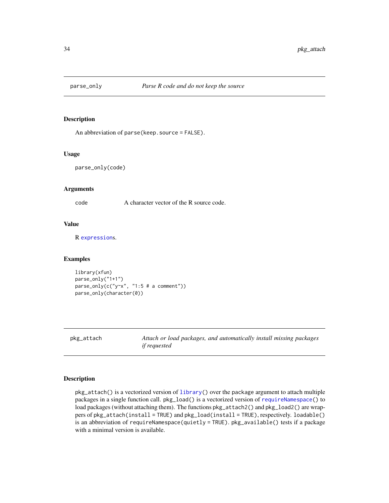<span id="page-33-0"></span>

An abbreviation of parse(keep.source = FALSE).

#### Usage

parse\_only(code)

#### Arguments

code A character vector of the R source code.

# Value

R [expression](#page-0-0)s.

# Examples

```
library(xfun)
parse_only("1+1")
parse\_only(c("y~x", "1:5 # a comment"))parse_only(character(0))
```
pkg\_attach *Attach or load packages, and automatically install missing packages if requested*

#### <span id="page-33-1"></span>Description

pkg\_attach() is a vectorized version of [library\(](#page-0-0)) over the package argument to attach multiple packages in a single function call. pkg\_load() is a vectorized version of [requireNamespace\(](#page-0-0)) to load packages (without attaching them). The functions  $pkg_1 + \text{tach2}$  and  $pkg_1 = \text{tach2}$  are wrappers of pkg\_attach(install = TRUE) and pkg\_load(install = TRUE), respectively. loadable() is an abbreviation of requireNamespace(quietly = TRUE). pkg\_available() tests if a package with a minimal version is available.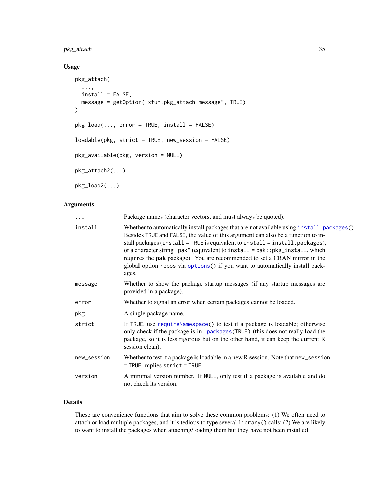# <span id="page-34-0"></span>pkg\_attach 35

# Usage

```
pkg_attach(
  ...,
 install = FALSE,message = getOption("xfun.pkg_attach.message", TRUE)
\mathcal{L}pkg_load(..., error = TRUE, install = FALSE)
loadable(pkg, strict = TRUE, new_session = FALSE)
pkg_available(pkg, version = NULL)
pkg_attach2(...)
pkg_load2(...)
```
#### Arguments

| .           | Package names (character vectors, and must always be quoted).                                                                                                                                                                                                                                                                                                                                                                                                                                                          |
|-------------|------------------------------------------------------------------------------------------------------------------------------------------------------------------------------------------------------------------------------------------------------------------------------------------------------------------------------------------------------------------------------------------------------------------------------------------------------------------------------------------------------------------------|
| install     | Whether to automatically install packages that are not available using install.packages().<br>Besides TRUE and FALSE, the value of this argument can also be a function to in-<br>stall packages (install = TRUE is equivalent to install = install.packages),<br>or a character string "pak" (equivalent to install = pak:: pkg_install, which<br>requires the pak package). You are recommended to set a CRAN mirror in the<br>global option repos via options() if you want to automatically install pack-<br>ages. |
| message     | Whether to show the package startup messages (if any startup messages are<br>provided in a package).                                                                                                                                                                                                                                                                                                                                                                                                                   |
| error       | Whether to signal an error when certain packages cannot be loaded.                                                                                                                                                                                                                                                                                                                                                                                                                                                     |
| pkg         | A single package name.                                                                                                                                                                                                                                                                                                                                                                                                                                                                                                 |
| strict      | If TRUE, use requireNamespace() to test if a package is loadable; otherwise<br>only check if the package is in . packages (TRUE) (this does not really load the<br>package, so it is less rigorous but on the other hand, it can keep the current R<br>session clean).                                                                                                                                                                                                                                                 |
| new_session | Whether to test if a package is loadable in a new R session. Note that new_session<br>= TRUE implies strict = TRUE.                                                                                                                                                                                                                                                                                                                                                                                                    |
| version     | A minimal version number. If NULL, only test if a package is available and do<br>not check its version.                                                                                                                                                                                                                                                                                                                                                                                                                |
|             |                                                                                                                                                                                                                                                                                                                                                                                                                                                                                                                        |

# Details

These are convenience functions that aim to solve these common problems: (1) We often need to attach or load multiple packages, and it is tedious to type several library() calls; (2) We are likely to want to install the packages when attaching/loading them but they have not been installed.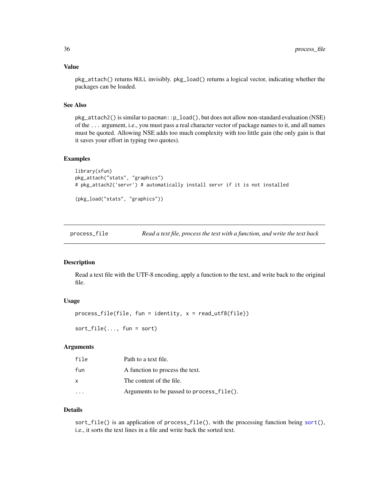#### <span id="page-35-0"></span>Value

pkg\_attach() returns NULL invisibly. pkg\_load() returns a logical vector, indicating whether the packages can be loaded.

#### See Also

pkg\_attach2() is similar to pacman::p\_load(), but does not allow non-standard evaluation (NSE) of the ... argument, i.e., you must pass a real character vector of package names to it, and all names must be quoted. Allowing NSE adds too much complexity with too little gain (the only gain is that it saves your effort in typing two quotes).

#### Examples

```
library(xfun)
pkg_attach("stats", "graphics")
# pkg_attach2('servr') # automatically install servr if it is not installed
(pkg_load("stats", "graphics"))
```
process\_file *Read a text file, process the text with a function, and write the text back*

# Description

Read a text file with the UTF-8 encoding, apply a function to the text, and write back to the original file.

# Usage

```
process_file(file, fun = identity, x = read_utf8(file))
```
sort\_file(..., fun = sort)

#### Arguments

| file | Path to a text file.                      |
|------|-------------------------------------------|
| fun  | A function to process the text.           |
| x    | The content of the file.                  |
|      | Arguments to be passed to process_file(). |

# Details

sort\_file() is an application of process\_file(), with the processing function being [sort\(](#page-0-0)), i.e., it sorts the text lines in a file and write back the sorted text.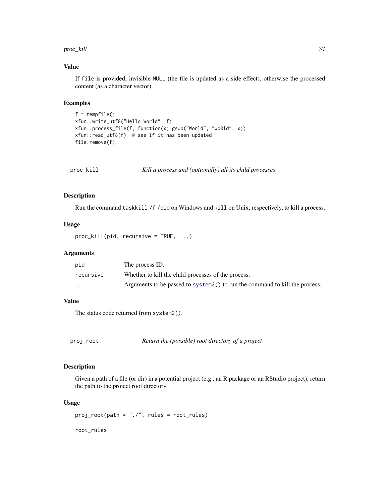#### <span id="page-36-0"></span>proc\_kill 37

#### Value

If file is provided, invisible NULL (the file is updated as a side effect), otherwise the processed content (as a character vector).

#### Examples

```
f = tempfile()xfun::write_utf8("Hello World", f)
xfun::process_file(f, function(x) gsub("World", "woRld", x))
xfun::read_utf8(f) # see if it has been updated
file.remove(f)
```
<span id="page-36-1"></span>

| proc_kill | Kill a process and (optionally) all its child processes |
|-----------|---------------------------------------------------------|
|-----------|---------------------------------------------------------|

# Description

Run the command taskkill /f /pid on Windows and kill on Unix, respectively, to kill a process.

#### Usage

 $proc_kill(pid, recursive = TRUE, ...)$ 

#### Arguments

| pid                     | The process ID.                                                              |
|-------------------------|------------------------------------------------------------------------------|
| recursive               | Whether to kill the child processes of the process.                          |
| $\cdot$ $\cdot$ $\cdot$ | Arguments to be passed to system 2() to run the command to kill the process. |

# Value

The status code returned from system2().

proj\_root *Return the (possible) root directory of a project*

# Description

Given a path of a file (or dir) in a potential project (e.g., an R package or an RStudio project), return the path to the project root directory.

#### Usage

proj\_root(path = "./", rules = root\_rules)

root\_rules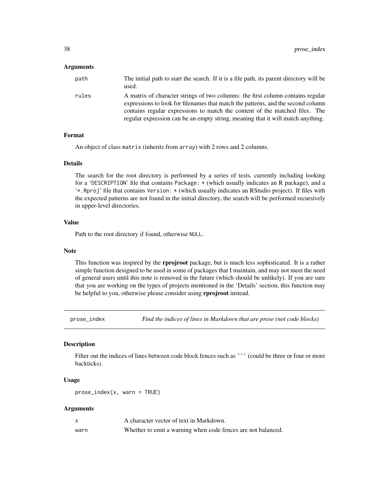#### <span id="page-37-0"></span>Arguments

| path  | The initial path to start the search. If it is a file path, its parent directory will be<br>used.                                                                                                                                                                                                                                     |
|-------|---------------------------------------------------------------------------------------------------------------------------------------------------------------------------------------------------------------------------------------------------------------------------------------------------------------------------------------|
| rules | A matrix of character strings of two columns: the first column contains regular<br>expressions to look for filenames that match the patterns, and the second column<br>contains regular expressions to match the content of the matched files. The<br>regular expression can be an empty string, meaning that it will match anything. |

#### Format

An object of class matrix (inherits from array) with 2 rows and 2 columns.

#### Details

The search for the root directory is performed by a series of tests, currently including looking for a 'DESCRIPTION' file that contains Package: \* (which usually indicates an R package), and a '\*.Rproj' file that contains Version: \* (which usually indicates an RStudio project). If files with the expected patterns are not found in the initial directory, the search will be performed recursively in upper-level directories.

#### Value

Path to the root directory if found, otherwise NULL.

#### Note

This function was inspired by the **rprojroot** package, but is much less sophisticated. It is a rather simple function designed to be used in some of packages that I maintain, and may not meet the need of general users until this note is removed in the future (which should be unlikely). If you are sure that you are working on the types of projects mentioned in the 'Details' section, this function may be helpful to you, otherwise please consider using rprojroot instead.

prose\_index *Find the indices of lines in Markdown that are prose (not code blocks)*

#### Description

Filter out the indices of lines between code block fences such as ``` (could be three or four or more backticks).

# Usage

```
prose\_index(x, warn = TRUE)
```

|      | A character vector of text in Markdown.                      |
|------|--------------------------------------------------------------|
| warn | Whether to emit a warning when code fences are not balanced. |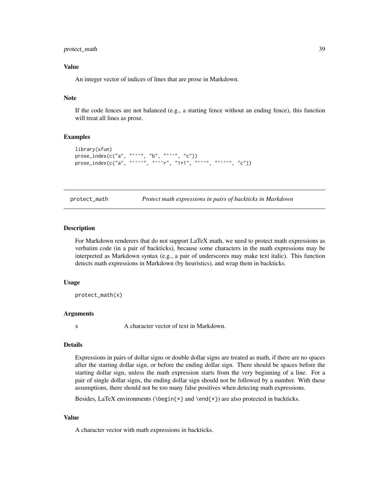# <span id="page-38-0"></span>protect\_math 39

# Value

An integer vector of indices of lines that are prose in Markdown.

# Note

If the code fences are not balanced (e.g., a starting fence without an ending fence), this function will treat all lines as prose.

#### Examples

```
library(xfun)
prose\_index(c("a", "``"", "b", "``"", "c")prose_index(c("a", "````", "```r", "1+1", "````", "````", "c"))
```
protect\_math *Protect math expressions in pairs of backticks in Markdown*

#### Description

For Markdown renderers that do not support LaTeX math, we need to protect math expressions as verbatim code (in a pair of backticks), because some characters in the math expressions may be interpreted as Markdown syntax (e.g., a pair of underscores may make text italic). This function detects math expressions in Markdown (by heuristics), and wrap them in backticks.

#### Usage

```
protect_math(x)
```
#### **Arguments**

x A character vector of text in Markdown.

#### Details

Expressions in pairs of dollar signs or double dollar signs are treated as math, if there are no spaces after the starting dollar sign, or before the ending dollar sign. There should be spaces before the starting dollar sign, unless the math expression starts from the very beginning of a line. For a pair of single dollar signs, the ending dollar sign should not be followed by a number. With these assumptions, there should not be too many false positives when detecing math expressions.

Besides, LaTeX environments ( $\begin{array}{c} \begin{cases} x \\ \end{cases}$  and  $\end{array}$  are also protected in backticks.

#### Value

A character vector with math expressions in backticks.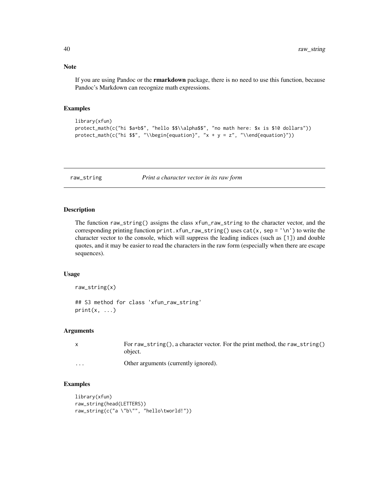#### Note

If you are using Pandoc or the rmarkdown package, there is no need to use this function, because Pandoc's Markdown can recognize math expressions.

#### Examples

```
library(xfun)
protect_math(c("hi $a+b$", "hello $$\\alpha$$", "no math here: $x is $10 dollars"))
protect_math(c("hi $$", "\\begin{equation}", "x + y = z", "\\end{equation}"))
```
<span id="page-39-1"></span>raw\_string *Print a character vector in its raw form*

# Description

The function raw\_string() assigns the class xfun\_raw\_string to the character vector, and the corresponding printing function print.xfun\_raw\_string() uses cat(x, sep = '\n') to write the character vector to the console, which will suppress the leading indices (such as [1]) and double quotes, and it may be easier to read the characters in the raw form (especially when there are escape sequences).

#### Usage

raw\_string(x)

## S3 method for class 'xfun\_raw\_string'  $print(x, \ldots)$ 

# Arguments

|   | For raw_string(), a character vector. For the print method, the raw_string()<br>object. |
|---|-----------------------------------------------------------------------------------------|
| . | Other arguments (currently ignored).                                                    |

```
library(xfun)
raw_string(head(LETTERS))
raw_string(c("a \"b\"", "hello\tworld!"))
```
<span id="page-39-0"></span>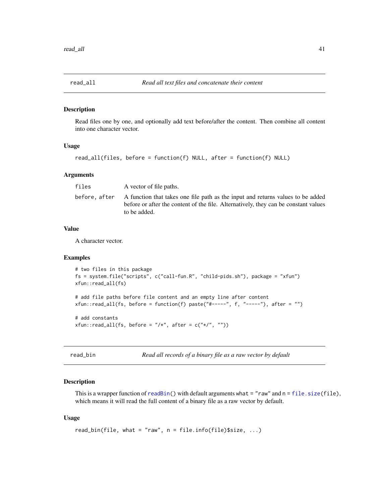<span id="page-40-0"></span>

Read files one by one, and optionally add text before/after the content. Then combine all content into one character vector.

# Usage

```
read_all(files, before = function(f) NULL, after = function(f) NULL)
```
#### Arguments

| files        | A vector of file paths.                                                                                                                                                                |
|--------------|----------------------------------------------------------------------------------------------------------------------------------------------------------------------------------------|
| before.after | A function that takes one file path as the input and returns values to be added<br>before or after the content of the file. Alternatively, they can be constant values<br>to be added. |

#### Value

A character vector.

#### Examples

```
# two files in this package
fs = system.file("scripts", c("call-fun.R", "child-pids.sh"), package = "xfun")
xfun::read_all(fs)
# add file paths before file content and an empty line after content
xfun::read\_all(fs, before = function(f) paste("#-----", f, "----"), after = "")# add constants
xfun::read_all(fs, before = \sqrt[n]{*}, after = c("*/", ""))
```
read\_bin *Read all records of a binary file as a raw vector by default*

#### Description

This is a wrapper function of [readBin\(](#page-0-0)) with default arguments what =  $"raw"$  and  $n = file.size(file)$  $n = file.size(file)$  $n = file.size(file)$ , which means it will read the full content of a binary file as a raw vector by default.

#### Usage

```
read_bin(file, what = "raw", n = file.info(file)$size, ...)
```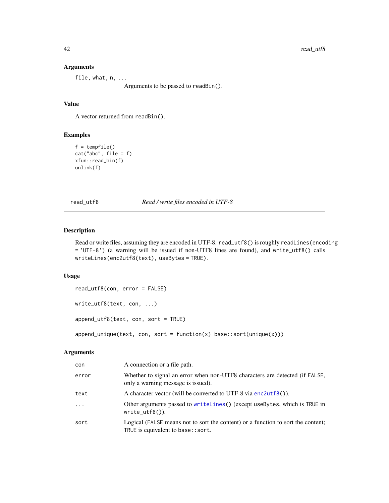#### Arguments

file, what, n, ...

Arguments to be passed to readBin().

# Value

A vector returned from readBin().

# Examples

```
f = tempfile()
cat("abc", file = f)
xfun::read_bin(f)
unlink(f)
```
<span id="page-41-1"></span>read\_utf8 *Read / write files encoded in UTF-8*

# Description

Read or write files, assuming they are encoded in UTF-8. read\_utf8() is roughly readLines (encoding = 'UTF-8') (a warning will be issued if non-UTF8 lines are found), and write\_utf8() calls writeLines(enc2utf8(text), useBytes = TRUE).

# Usage

```
read_utf8(con, error = FALSE)
```

```
write_utf8(text, con, ...)
```
append\_utf8(text, con, sort = TRUE)

 $append\_unique(text, con, sort = function(x) base::sort(unique(x)))$ 

| con      | A connection or a file path.                                                                                            |
|----------|-------------------------------------------------------------------------------------------------------------------------|
| error    | Whether to signal an error when non-UTF8 characters are detected (if FALSE,<br>only a warning message is issued).       |
| text     | A character vector (will be converted to UTF-8 via $enc2utf8()$ ).                                                      |
| $\ddots$ | Other arguments passed to writelines () (except use Bytes, which is TRUE in<br>$write\_utf8()$ ).                       |
| sort     | Logical (FALSE means not to sort the content) or a function to sort the content;<br>TRUE is equivalent to base: : sort. |

<span id="page-41-0"></span>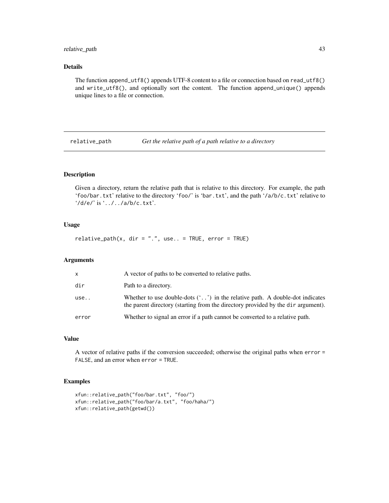# <span id="page-42-0"></span>relative\_path 43

#### Details

The function append\_utf8() appends UTF-8 content to a file or connection based on read\_utf8() and write\_utf8(), and optionally sort the content. The function append\_unique() appends unique lines to a file or connection.

<span id="page-42-1"></span>relative\_path *Get the relative path of a path relative to a directory*

# Description

Given a directory, return the relative path that is relative to this directory. For example, the path 'foo/bar.txt' relative to the directory 'foo/' is 'bar.txt', and the path '/a/b/c.txt' relative to '/d/e/' is '../../a/b/c.txt'.

#### Usage

relative\_path(x, dir =  $".".$ , use.. = TRUE, error = TRUE)

#### Arguments

| x     | A vector of paths to be converted to relative paths.                                                                                                                         |
|-------|------------------------------------------------------------------------------------------------------------------------------------------------------------------------------|
| dir   | Path to a directory.                                                                                                                                                         |
| use.  | Whether to use double-dots $(\cdot, \cdot)$ in the relative path. A double-dot indicates<br>the parent directory (starting from the directory provided by the dir argument). |
| error | Whether to signal an error if a path cannot be converted to a relative path.                                                                                                 |
|       |                                                                                                                                                                              |

# Value

A vector of relative paths if the conversion succeeded; otherwise the original paths when error = FALSE, and an error when error = TRUE.

```
xfun::relative_path("foo/bar.txt", "foo/")
xfun::relative_path("foo/bar/a.txt", "foo/haha/")
xfun::relative_path(getwd())
```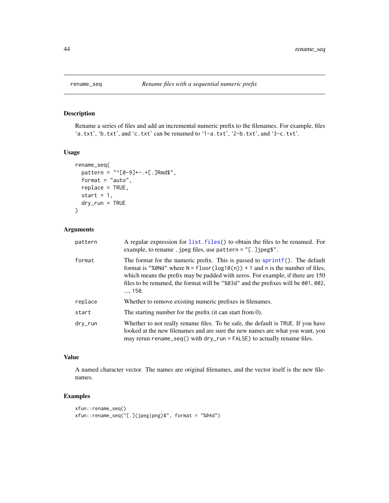<span id="page-43-0"></span>

Rename a series of files and add an incremental numeric prefix to the filenames. For example, files 'a.txt', 'b.txt', and 'c.txt' can be renamed to '1-a.txt', '2-b.txt', and '3-c.txt'.

#### Usage

```
rename_seq(
 pattern = "^[0-9]+-.+[.]Rmd$",
  format = "auto",replace = TRUE,
  start = 1,dry_run = TRUE
\mathcal{L}
```
# Arguments

| pattern | A regular expression for list. files () to obtain the files to be renamed. For<br>example, to rename. jpeg files, use pattern = $"$ [.] jpeg\$".                                                                                                                                                                                                           |
|---------|------------------------------------------------------------------------------------------------------------------------------------------------------------------------------------------------------------------------------------------------------------------------------------------------------------------------------------------------------------|
| format  | The format for the numeric prefix. This is passed to $spring(f)$ . The default<br>format is "%0Nd" where $N = \text{floor}(\log 10(n)) + 1$ and n is the number of files,<br>which means the prefix may be padded with zeros. For example, if there are 150<br>files to be renamed, the format will be "%03d" and the prefixes will be 001, 002,<br>, 150. |
| replace | Whether to remove existing numeric prefixes in filenames.                                                                                                                                                                                                                                                                                                  |
| start   | The starting number for the prefix (it can start from 0).                                                                                                                                                                                                                                                                                                  |
| dry_run | Whether to not really rename files. To be safe, the default is TRUE. If you have<br>looked at the new filenames and are sure the new names are what you want, you<br>may rerun rename_seq() with $\frac{dy}{dx}$ run = FALSE) to actually rename files.                                                                                                    |

# Value

A named character vector. The names are original filenames, and the vector itself is the new filenames.

```
xfun::rename_seq()
xfun::rename_seq("[.](jpeg|png)$", format = "%04d")
```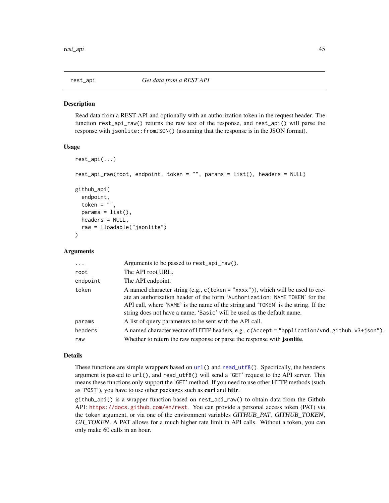<span id="page-44-1"></span><span id="page-44-0"></span>

Read data from a REST API and optionally with an authorization token in the request header. The function rest\_api\_raw() returns the raw text of the response, and rest\_api() will parse the response with jsonlite::fromJSON() (assuming that the response is in the JSON format).

#### Usage

```
rest_api(...)
rest_api_raw(root, endpoint, token = "", params = list(), headers = NULL)
github_api(
  endpoint,
  token = ",
  params = list(),headers = NULL,
  raw = !loadable("jsonlite")
)
```
#### Arguments

| $\ddots$ . | Arguments to be passed to rest_api_raw().                                                                                                                                                                                                                                                                                        |
|------------|----------------------------------------------------------------------------------------------------------------------------------------------------------------------------------------------------------------------------------------------------------------------------------------------------------------------------------|
| root       | The API root URL.                                                                                                                                                                                                                                                                                                                |
| endpoint   | The API endpoint.                                                                                                                                                                                                                                                                                                                |
| token      | A named character string (e.g., $c$ (token = "xxxx")), which will be used to cre-<br>ate an authorization header of the form 'Authorization: NAME TOKEN' for the<br>API call, where 'NAME' is the name of the string and 'TOKEN' is the string. If the<br>string does not have a name, 'Basic' will be used as the default name. |
| params     | A list of query parameters to be sent with the API call.                                                                                                                                                                                                                                                                         |
| headers    | A named character vector of HTTP headers, e.g., c(Accept = "application/vnd.github.v3+json").                                                                                                                                                                                                                                    |
| raw        | Whether to return the raw response or parse the response with <i>jsonlite</i> .                                                                                                                                                                                                                                                  |

#### Details

These functions are simple wrappers based on [url\(](#page-0-0)) and [read\\_utf8\(](#page-41-1)). Specifically, the headers argument is passed to url(), and read\_utf8() will send a 'GET' request to the API server. This means these functions only support the 'GET' method. If you need to use other HTTP methods (such as 'POST'), you have to use other packages such as curl and httr.

github\_api() is a wrapper function based on rest\_api\_raw() to obtain data from the Github API: <https://docs.github.com/en/rest>. You can provide a personal access token (PAT) via the token argument, or via one of the environment variables GITHUB\_PAT, GITHUB\_TOKEN, GH\_TOKEN. A PAT allows for a much higher rate limit in API calls. Without a token, you can only make 60 calls in an hour.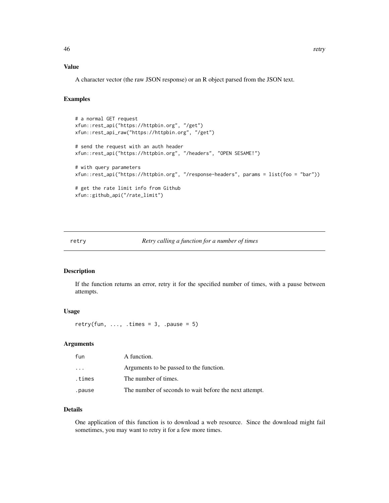# <span id="page-45-0"></span>Value

A character vector (the raw JSON response) or an R object parsed from the JSON text.

#### Examples

```
# a normal GET request
xfun::rest_api("https://httpbin.org", "/get")
xfun::rest_api_raw("https://httpbin.org", "/get")
# send the request with an auth header
xfun::rest_api("https://httpbin.org", "/headers", "OPEN SESAME!")
# with query parameters
xfun::rest_api("https://httpbin.org", "/response-headers", params = list(foo = "bar"))
# get the rate limit info from Github
xfun::github_api("/rate_limit")
```
#### retry *Retry calling a function for a number of times*

#### Description

If the function returns an error, retry it for the specified number of times, with a pause between attempts.

#### Usage

retry(fun, ..., .times = 3, .pause = 5)

#### Arguments

| fun    | A function.                                            |
|--------|--------------------------------------------------------|
| .      | Arguments to be passed to the function.                |
| times. | The number of times.                                   |
| .pause | The number of seconds to wait before the next attempt. |

# Details

One application of this function is to download a web resource. Since the download might fail sometimes, you may want to retry it for a few more times.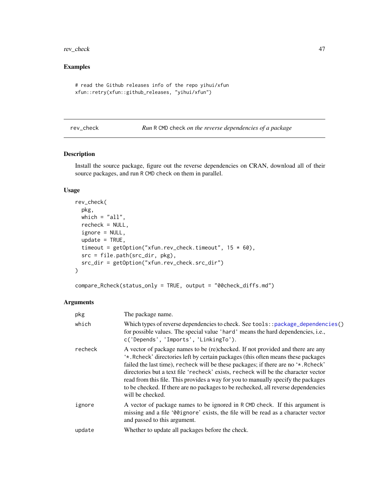<span id="page-46-0"></span>rev\_check 47

# Examples

```
# read the Github releases info of the repo yihui/xfun
xfun::retry(xfun::github_releases, "yihui/xfun")
```
<span id="page-46-1"></span>rev\_check *Run* R CMD check *on the reverse dependencies of a package*

# Description

Install the source package, figure out the reverse dependencies on CRAN, download all of their source packages, and run R CMD check on them in parallel.

# Usage

```
rev_check(
 pkg,
 which = "all",recheck = NULL,
  ignore = NULL,
 update = TRUE,timeout = getOption("xfun.rev_check.timeout", 15 * 60),
 src = file.path(src_dir, pkg),
 src_dir = getOption("xfun.rev_check.src_dir")
\mathcal{E}
```
compare\_Rcheck(status\_only = TRUE, output = "00check\_diffs.md")

| pkg     | The package name.                                                                                                                                                                                                                                                                                                                                                                                                                                                                                                                             |
|---------|-----------------------------------------------------------------------------------------------------------------------------------------------------------------------------------------------------------------------------------------------------------------------------------------------------------------------------------------------------------------------------------------------------------------------------------------------------------------------------------------------------------------------------------------------|
| which   | Which types of reverse dependencies to check. See tools::package_dependencies()<br>for possible values. The special value 'hard' means the hard dependencies, i.e.,<br>c('Depends', 'Imports', 'LinkingTo').                                                                                                                                                                                                                                                                                                                                  |
| recheck | A vector of package names to be (re)checked. If not provided and there are any<br>'*. Rcheck' directories left by certain packages (this often means these packages<br>failed the last time), recheck will be these packages; if there are no '*. Rcheck'<br>directories but a text file 'recheck' exists, recheck will be the character vector<br>read from this file. This provides a way for you to manually specify the packages<br>to be checked. If there are no packages to be rechecked, all reverse dependencies<br>will be checked. |
| ignore  | A vector of package names to be ignored in RCMD check. If this argument is<br>missing and a file '00 ignore' exists, the file will be read as a character vector<br>and passed to this argument.                                                                                                                                                                                                                                                                                                                                              |
| update  | Whether to update all packages before the check.                                                                                                                                                                                                                                                                                                                                                                                                                                                                                              |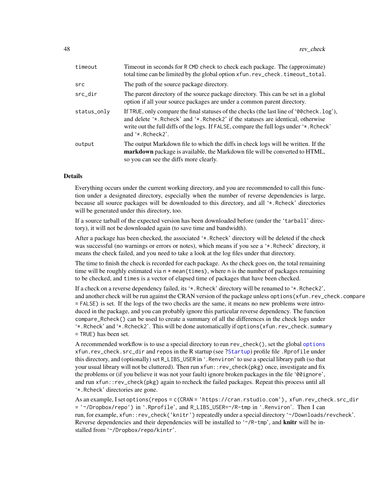<span id="page-47-0"></span>

| Timeout in seconds for R CMD check to check each package. The (approximate)<br>total time can be limited by the global option xfun.rev_check.timeout_total.                                                                                                                                       |
|---------------------------------------------------------------------------------------------------------------------------------------------------------------------------------------------------------------------------------------------------------------------------------------------------|
| The path of the source package directory.                                                                                                                                                                                                                                                         |
| The parent directory of the source package directory. This can be set in a global<br>option if all your source packages are under a common parent directory.                                                                                                                                      |
| If TRUE, only compare the final statuses of the checks (the last line of '00 check. $log'$ ),<br>and delete '*. Rcheck' and '*. Rcheck2' if the statuses are identical, otherwise<br>write out the full diffs of the logs. If FALSE, compare the full logs under '*. Reheck'<br>and '*, Rcheck2'. |
| The output Markdown file to which the diffs in check logs will be written. If the<br>markdown package is available, the Markdown file will be converted to HTML,<br>so you can see the diffs more clearly.                                                                                        |
|                                                                                                                                                                                                                                                                                                   |

#### Details

Everything occurs under the current working directory, and you are recommended to call this function under a designated directory, especially when the number of reverse dependencies is large, because all source packages will be downloaded to this directory, and all '\*.Rcheck' directories will be generated under this directory, too.

If a source tarball of the expected version has been downloaded before (under the 'tarball' directory), it will not be downloaded again (to save time and bandwidth).

After a package has been checked, the associated '\*.Rcheck' directory will be deleted if the check was successful (no warnings or errors or notes), which means if you see a '\*.Rcheck' directory, it means the check failed, and you need to take a look at the log files under that directory.

The time to finish the check is recorded for each package. As the check goes on, the total remaining time will be roughly estimated via  $n \times \text{mean}(\text{times})$ , where n is the number of packages remaining to be checked, and times is a vector of elapsed time of packages that have been checked.

If a check on a reverse dependency failed, its '\*.Rcheck' directory will be renamed to '\*.Rcheck2', and another check will be run against the CRAN version of the package unless options (xfun.rev\_check.compare = FALSE) is set. If the logs of the two checks are the same, it means no new problems were introduced in the package, and you can probably ignore this particular reverse dependency. The function compare\_Rcheck() can be used to create a summary of all the differences in the check logs under '\*.Rcheck' and '\*.Rcheck2'. This will be done automatically if options(xfun.rev\_check.summary = TRUE) has been set.

A recommended workflow is to use a special directory to run rev\_check(), set the global [options](#page-0-0) xfun.rev\_check.src\_dir and repos in the R startup (see [?Startup](#page-0-0)) profile file .Rprofile under this directory, and (optionally) set R\_LIBS\_USER in '.Renviron' to use a special library path (so that your usual library will not be cluttered). Then run xfun::rev\_check(pkg) once, investigate and fix the problems or (if you believe it was not your fault) ignore broken packages in the file '00ignore', and run xfun::rev\_check(pkg) again to recheck the failed packages. Repeat this process until all '\*.Rcheck' directories are gone.

As an example, I set options(repos = c(CRAN = 'https://cran.rstudio.com'), xfun.rev\_check.src\_dir = '~/Dropbox/repo') in '.Rprofile', and R\_LIBS\_USER=~/R-tmp in '.Renviron'. Then I can run, for example, xfun::rev\_check('knitr') repeatedly under a special directory '~/Downloads/revcheck'. Reverse dependencies and their dependencies will be installed to  $\sim$ /R-tmp', and knitr will be installed from '~/Dropbox/repo/kintr'.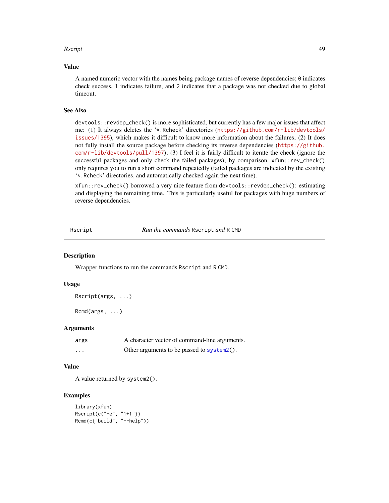#### <span id="page-48-0"></span>Rscript 49

#### Value

A named numeric vector with the names being package names of reverse dependencies; 0 indicates check success, 1 indicates failure, and 2 indicates that a package was not checked due to global timeout.

#### See Also

devtools::revdep\_check() is more sophisticated, but currently has a few major issues that affect me: (1) It always deletes the '\*.Rcheck' directories ([https://github.com/r-lib/devtools/](https://github.com/r-lib/devtools/issues/1395) [issues/1395](https://github.com/r-lib/devtools/issues/1395)), which makes it difficult to know more information about the failures; (2) It does not fully install the source package before checking its reverse dependencies ([https://github.](https://github.com/r-lib/devtools/pull/1397) [com/r-lib/devtools/pull/1397](https://github.com/r-lib/devtools/pull/1397)); (3) I feel it is fairly difficult to iterate the check (ignore the successful packages and only check the failed packages); by comparison, xfun::rev\_check() only requires you to run a short command repeatedly (failed packages are indicated by the existing '\*.Rcheck' directories, and automatically checked again the next time).

xfun::rev\_check() borrowed a very nice feature from devtools::revdep\_check(): estimating and displaying the remaining time. This is particularly useful for packages with huge numbers of reverse dependencies.

<span id="page-48-1"></span>Rscript *Run the commands* Rscript *and* R CMD

# **Description**

Wrapper functions to run the commands Rscript and R CMD.

#### Usage

```
Rscript(args, ...)
```
Rcmd(args, ...)

#### Arguments

| args     | A character vector of command-line arguments. |
|----------|-----------------------------------------------|
| $\cdots$ | Other arguments to be passed to system2().    |

# Value

A value returned by system2().

```
library(xfun)
Rscript(c("-e", "1+1"))
Rcmd(c("build", "--help"))
```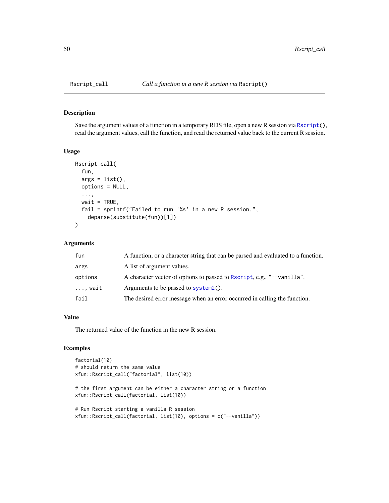<span id="page-49-0"></span>

Save the argument values of a function in a temporary RDS file, open a new R session via [Rscript\(](#page-48-1)), read the argument values, call the function, and read the returned value back to the current R session.

# Usage

```
Rscript_call(
  fun,
  args = list(),
 options = NULL,
  ...,
 wait = TRUE,
  fail = sprintf("Failed to run '%s' in a new R session.",
    deparse(substitute(fun))[1])
\lambda
```
#### Arguments

| fun     | A function, or a character string that can be parsed and evaluated to a function. |
|---------|-----------------------------------------------------------------------------------|
| args    | A list of argument values.                                                        |
| options | A character vector of options to passed to Rscript, e.g., "--vanilla".            |
| , wait  | Arguments to be passed to system2().                                              |
| fail    | The desired error message when an error occurred in calling the function.         |

# Value

The returned value of the function in the new R session.

```
factorial(10)
# should return the same value
xfun::Rscript_call("factorial", list(10))
# the first argument can be either a character string or a function
xfun::Rscript_call(factorial, list(10))
# Run Rscript starting a vanilla R session
xfun::Rscript_call(factorial, list(10), options = c("--vanilla"))
```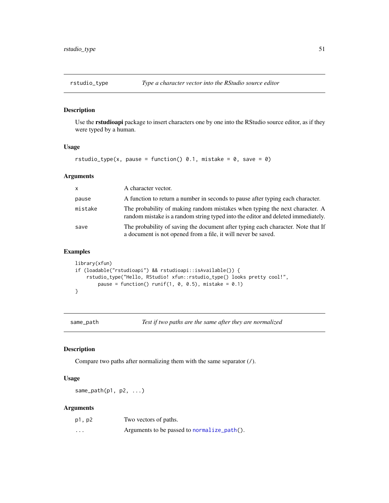<span id="page-50-0"></span>

Use the rstudioapi package to insert characters one by one into the RStudio source editor, as if they were typed by a human.

# Usage

```
rstudio_type(x, pause = function() 0.1, mistake = 0, save = 0)
```
#### Arguments

| $\mathsf{x}$ | A character vector.                                                                                                                                             |
|--------------|-----------------------------------------------------------------------------------------------------------------------------------------------------------------|
| pause        | A function to return a number in seconds to pause after typing each character.                                                                                  |
| mistake      | The probability of making random mistakes when typing the next character. A<br>random mistake is a random string typed into the editor and deleted immediately. |
| save         | The probability of saving the document after typing each character. Note that If<br>a document is not opened from a file, it will never be saved.               |

# Examples

```
library(xfun)
if (loadable("rstudioapi") && rstudioapi::isAvailable()) {
    rstudio_type("Hello, RStudio! xfun::rstudio_type() looks pretty cool!",
       pause = function() runif(1, 0, 0.5), mistake = 0.1)
}
```
<span id="page-50-1"></span>

same\_path *Test if two paths are the same after they are normalized*

# Description

Compare two paths after normalizing them with the same separator (/).

#### Usage

same\_path( $p1$ ,  $p2$ ,  $\ldots$ )

| p1, p2   | Two vectors of paths.                       |
|----------|---------------------------------------------|
| $\cdots$ | Arguments to be passed to normalize_path(). |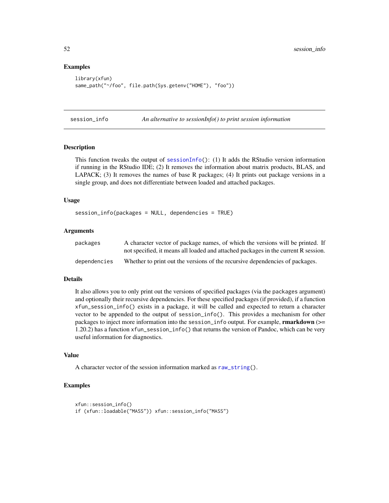#### Examples

```
library(xfun)
same_path("~/foo", file.path(Sys.getenv("HOME"), "foo"))
```
session\_info *An alternative to sessionInfo() to print session information*

#### Description

This function tweaks the output of [sessionInfo\(](#page-0-0)): (1) It adds the RStudio version information if running in the RStudio IDE; (2) It removes the information about matrix products, BLAS, and LAPACK; (3) It removes the names of base R packages; (4) It prints out package versions in a single group, and does not differentiate between loaded and attached packages.

#### Usage

```
session_info(packages = NULL, dependencies = TRUE)
```
#### Arguments

| packages     | A character vector of package names, of which the versions will be printed. If     |
|--------------|------------------------------------------------------------------------------------|
|              | not specified, it means all loaded and attached packages in the current R session. |
| dependencies | Whether to print out the versions of the recursive dependencies of packages.       |

#### Details

It also allows you to only print out the versions of specified packages (via the packages argument) and optionally their recursive dependencies. For these specified packages (if provided), if a function xfun\_session\_info() exists in a package, it will be called and expected to return a character vector to be appended to the output of session\_info(). This provides a mechanism for other packages to inject more information into the session\_info output. For example, **rmarkdown** ( $>=$ 1.20.2) has a function xfun\_session\_info() that returns the version of Pandoc, which can be very useful information for diagnostics.

#### Value

A character vector of the session information marked as [raw\\_string\(](#page-39-1)).

```
xfun::session_info()
if (xfun::loadable("MASS")) xfun::session_info("MASS")
```
<span id="page-51-0"></span>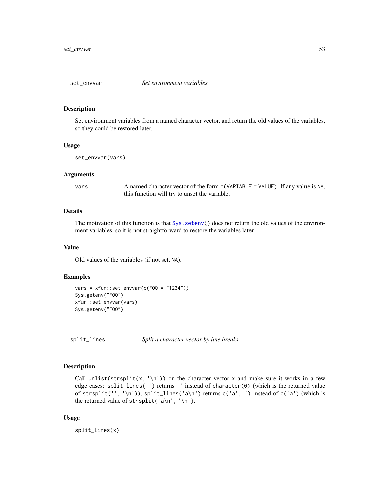<span id="page-52-0"></span>

Set environment variables from a named character vector, and return the old values of the variables, so they could be restored later.

#### Usage

set\_envvar(vars)

# Arguments

vars A named character vector of the form c(VARIABLE = VALUE). If any value is NA, this function will try to unset the variable.

#### Details

The motivation of this function is that Sys. setenv() does not return the old values of the environment variables, so it is not straightforward to restore the variables later.

# Value

Old values of the variables (if not set, NA).

#### Examples

```
vars = xfun::set\_envvar(c(FO0 = "1234"))Sys.getenv("FOO")
xfun::set_envvar(vars)
Sys.getenv("FOO")
```
split\_lines *Split a character vector by line breaks*

# Description

Call unlist(strsplit(x, '\n')) on the character vector x and make sure it works in a few edge cases: split\_lines('') returns '' instead of character(0) (which is the returned value of strsplit('', '\n')); split\_lines('a\n') returns c('a','') instead of c('a') (which is the returned value of strsplit('a\n', '\n').

#### Usage

split\_lines(x)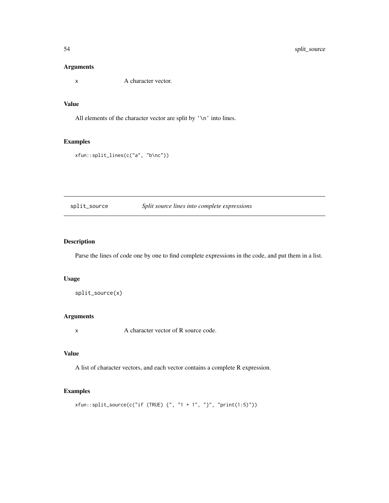# <span id="page-53-0"></span>Arguments

x A character vector.

# Value

All elements of the character vector are split by '\n' into lines.

#### Examples

xfun::split\_lines(c("a", "b\nc"))

# split\_source *Split source lines into complete expressions*

# Description

Parse the lines of code one by one to find complete expressions in the code, and put them in a list.

# Usage

split\_source(x)

#### Arguments

x A character vector of R source code.

# Value

A list of character vectors, and each vector contains a complete R expression.

```
xfun::split\_source(c("if (TRUE) {", "1 + 1", "}", "print(1:5)"))
```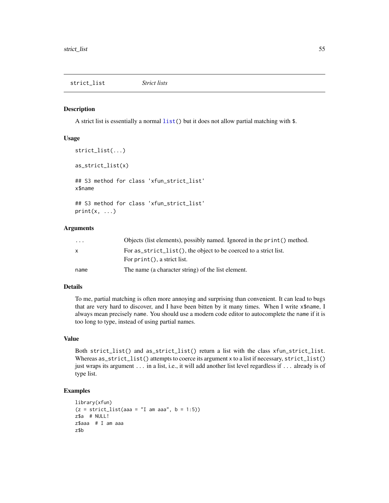<span id="page-54-0"></span>A strict list is essentially a normal [list\(](#page-0-0)) but it does not allow partial matching with \$.

#### Usage

```
strict_list(...)
as_strict_list(x)
## S3 method for class 'xfun_strict_list'
x$name
## S3 method for class 'xfun_strict_list'
print(x, \ldots)
```
#### Arguments

| $\cdots$ | Objects (list elements), possibly named. Ignored in the print () method. |
|----------|--------------------------------------------------------------------------|
| X        | For as_strict_list(), the object to be coerced to a strict list.         |
|          | For $print()$ , a strict list.                                           |
| name     | The name (a character string) of the list element.                       |

# Details

To me, partial matching is often more annoying and surprising than convenient. It can lead to bugs that are very hard to discover, and I have been bitten by it many times. When I write x\$name, I always mean precisely name. You should use a modern code editor to autocomplete the name if it is too long to type, instead of using partial names.

# Value

Both strict\_list() and as\_strict\_list() return a list with the class xfun\_strict\_list. Whereas as\_strict\_list() attempts to coerce its argument x to a list if necessary, strict\_list() just wraps its argument . . . in a list, i.e., it will add another list level regardless if . . . already is of type list.

```
library(xfun)
(z = strict_list(aaa = "I am aaa", b = 1:5))z$a # NULL!
z$aaa # I am aaa
z$b
```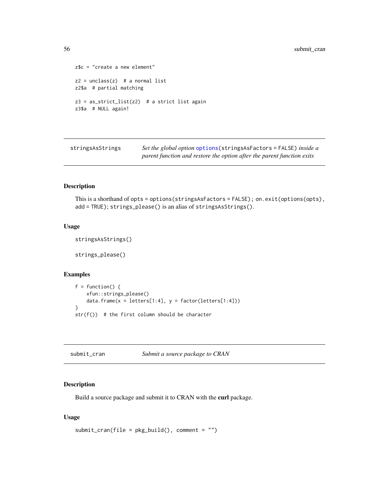```
z$c = "create a new element"
z2 = unclass(z) # a normal list
z2$a # partial matching
z3 = as_strict_list(z2) # a strict list again
z3$a # NULL again!
```
stringsAsStrings *Set the global option* [options\(](#page-0-0)stringsAsFactors = FALSE) *inside a parent function and restore the option after the parent function exits*

# Description

This is a shorthand of opts = options(stringsAsFactors = FALSE); on.exit(options(opts), add = TRUE); strings\_please() is an alias of stringsAsStrings().

# Usage

```
stringsAsStrings()
```
strings\_please()

# Examples

```
f = function() {
   xfun::strings_please()
   data.frame(x = letters[1:4], y = factor(leftters[1:4]))}
str(f()) # the first column should be character
```
submit\_cran *Submit a source package to CRAN*

# **Description**

Build a source package and submit it to CRAN with the curl package.

#### Usage

```
submit_ccran(file = pkg_build(), comment = "")
```
<span id="page-55-0"></span>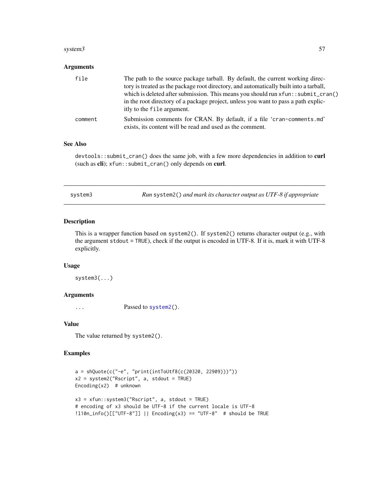#### <span id="page-56-0"></span>system3 57

# Arguments

| file    | The path to the source package tarball. By default, the current working direc-<br>tory is treated as the package root directory, and automatically built into a tarball,<br>which is deleted after submission. This means you should run $xfun:submit_ciran()$<br>in the root directory of a package project, unless you want to pass a path explic-<br>itly to the file argument. |
|---------|------------------------------------------------------------------------------------------------------------------------------------------------------------------------------------------------------------------------------------------------------------------------------------------------------------------------------------------------------------------------------------|
| comment | Submission comments for CRAN. By default, if a file 'cran-comments.md'<br>exists, its content will be read and used as the comment.                                                                                                                                                                                                                                                |

# See Also

devtools::submit\_cran() does the same job, with a few more dependencies in addition to curl (such as cli); xfun::submit\_cran() only depends on curl.

| Run system2() and mark its character output as UTF-8 if appropriate<br>system3 |  |
|--------------------------------------------------------------------------------|--|
|--------------------------------------------------------------------------------|--|

# Description

This is a wrapper function based on system2(). If system2() returns character output (e.g., with the argument stdout = TRUE), check if the output is encoded in UTF-8. If it is, mark it with UTF-8 explicitly.

#### Usage

system3(...)

#### Arguments

... Passed to [system2\(](#page-0-0)).

#### Value

The value returned by system2().

```
a = shQuote(c("-e", "print(intToUtf8(c(20320, 22909)))"))
x2 = system2("Rscript", a, stdout = TRUE)
Encoding(x2) # unknown
x3 = xfun::system3("Rscript", a, stdout = TRUE)
# encoding of x3 should be UTF-8 if the current locale is UTF-8
!l10n_info()[["UTF-8"]] || Encoding(x3) == "UTF-8" # should be TRUE
```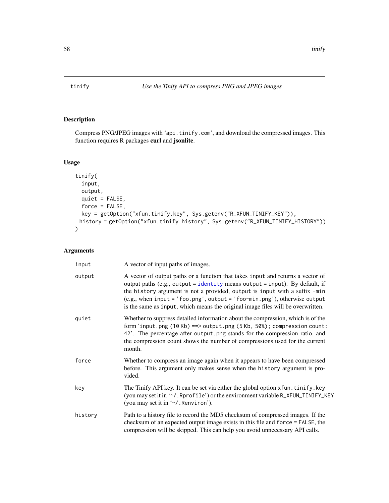<span id="page-57-0"></span>

Compress PNG/JPEG images with 'api.tinify.com', and download the compressed images. This function requires R packages curl and jsonlite.

#### Usage

```
tinify(
  input,
 output,
 quiet = FALSE,
 force = FALSE,
 key = getOption("xfun.tinify.key", Sys.getenv("R_XFUN_TINIFY_KEY")),
 history = getOption("xfun.tinify.history", Sys.getenv("R_XFUN_TINIFY_HISTORY"))
)
```

| input   | A vector of input paths of images.                                                                                                                                                                                                                                                                                                                                                                                |
|---------|-------------------------------------------------------------------------------------------------------------------------------------------------------------------------------------------------------------------------------------------------------------------------------------------------------------------------------------------------------------------------------------------------------------------|
| output  | A vector of output paths or a function that takes input and returns a vector of<br>output paths (e.g., output = identity means output = input). By default, if<br>the history argument is not a provided, output is input with a suffix -min<br>(e.g., when input = $'$ foo.png', output = $'$ foo-min.png'), otherwise output<br>is the same as input, which means the original image files will be overwritten. |
| quiet   | Whether to suppress detailed information about the compression, which is of the<br>form 'input.png (10 Kb) ==> output.png (5 Kb, 50%); compression count:<br>42'. The percentage after output png stands for the compression ratio, and<br>the compression count shows the number of compressions used for the current<br>month.                                                                                  |
| force   | Whether to compress an image again when it appears to have been compressed<br>before. This argument only makes sense when the history argument is pro-<br>vided.                                                                                                                                                                                                                                                  |
| key     | The Tinify API key. It can be set via either the global option xfun. tinify. key<br>(you may set it in '~/. Rprofile') or the environment variable R_XFUN_TINIFY_KEY<br>(you may set it in '~/. Renviron').                                                                                                                                                                                                       |
| history | Path to a history file to record the MD5 checksum of compressed images. If the<br>checksum of an expected output image exists in this file and force = FALSE, the<br>compression will be skipped. This can help you avoid unnecessary API calls.                                                                                                                                                                  |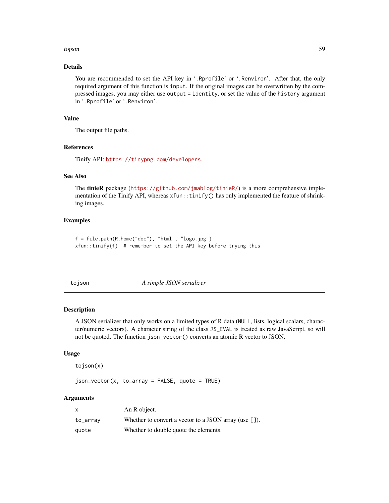#### <span id="page-58-0"></span>tojson 59

# Details

You are recommended to set the API key in '.Rprofile' or '.Renviron'. After that, the only required argument of this function is input. If the original images can be overwritten by the compressed images, you may either use output = identity, or set the value of the history argument in '.Rprofile' or '.Renviron'.

# Value

The output file paths.

#### References

Tinify API: <https://tinypng.com/developers>.

# See Also

The tinieR package (<https://github.com/jmablog/tinieR/>) is a more comprehensive implementation of the Tinify API, whereas  $xfun$ ::tinify() has only implemented the feature of shrinking images.

# Examples

```
f = file.path(R.home("doc"), "html", "logo.jpg")xfun::tinify(f) # remember to set the API key before trying this
```
tojson *A simple JSON serializer*

#### Description

A JSON serializer that only works on a limited types of R data (NULL, lists, logical scalars, character/numeric vectors). A character string of the class JS\_EVAL is treated as raw JavaScript, so will not be quoted. The function json\_vector() converts an atomic R vector to JSON.

#### Usage

tojson(x)

 $json\_vector(x, to_array = FALSE, quote = TRUE)$ 

| x        | An R object.                                                          |
|----------|-----------------------------------------------------------------------|
| to_array | Whether to convert a vector to a JSON array (use $\lbrack \rbrack$ ). |
| quote    | Whether to double quote the elements.                                 |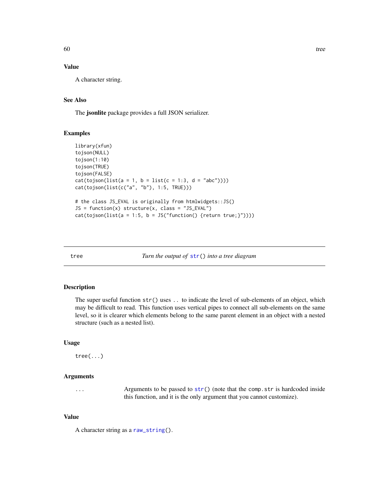# Value

A character string.

# See Also

The jsonlite package provides a full JSON serializer.

# Examples

```
library(xfun)
tojson(NULL)
tojson(1:10)
tojson(TRUE)
tojson(FALSE)
cat(tojson(list(a = 1, b = list(c = 1:3, d = "abc"))))cat(tojson(list(c("a", "b"), 1:5, TRUE)))
# the class JS_EVAL is originally from htmlwidgets::JS()
JS = function(x) structure(x, class = "JS_EVAL")cat(tojson(list(a = 1:5, b = JS("function() {return true;}"))))
```
tree *Turn the output of* [str\(](#page-0-0)) *into a tree diagram*

# Description

The super useful function str() uses .. to indicate the level of sub-elements of an object, which may be difficult to read. This function uses vertical pipes to connect all sub-elements on the same level, so it is clearer which elements belong to the same parent element in an object with a nested structure (such as a nested list).

# Usage

tree(...)

#### Arguments

... Arguments to be passed to [str\(](#page-0-0)) (note that the comp.str is hardcoded inside this function, and it is the only argument that you cannot customize).

#### Value

A character string as a [raw\\_string\(](#page-39-1)).

<span id="page-59-0"></span>60 tree to the state of the state of the state of the state of the state of the state of the state of the state of the state of the state of the state of the state of the state of the state of the state of the state of the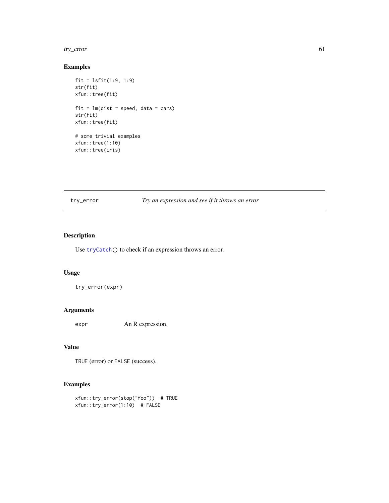#### <span id="page-60-0"></span>try\_error 61

# Examples

```
fit = lsfit(1:9, 1:9)
str(fit)
xfun::tree(fit)
fit = lm(dist \sim speed, data = cars)str(fit)
xfun::tree(fit)
# some trivial examples
xfun::tree(1:10)
xfun::tree(iris)
```
# try\_error *Try an expression and see if it throws an error*

# Description

Use [tryCatch\(](#page-0-0)) to check if an expression throws an error.

# Usage

try\_error(expr)

#### Arguments

expr An R expression.

#### Value

TRUE (error) or FALSE (success).

```
xfun::try_error(stop("foo")) # TRUE
xfun::try_error(1:10) # FALSE
```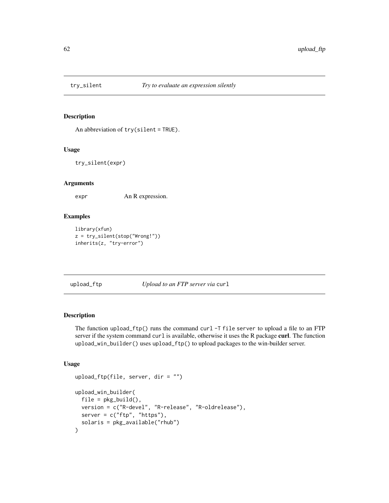<span id="page-61-0"></span>

An abbreviation of try(silent = TRUE).

# Usage

try\_silent(expr)

#### Arguments

expr An R expression.

# Examples

```
library(xfun)
z = try_silent(stop("Wrong!"))
inherits(z, "try-error")
```
upload\_ftp *Upload to an FTP server via* curl

#### Description

The function upload\_ftp() runs the command curl -T file server to upload a file to an FTP server if the system command curl is available, otherwise it uses the R package curl. The function upload\_win\_builder() uses upload\_ftp() to upload packages to the win-builder server.

# Usage

```
upload_ftp(file, server, dir = "")
upload_win_builder(
  file = pkg_buid(),
  version = c("R-devel", "R-release", "R-oldrelease"),
  server = c("ftp", "https"),
  solaris = pkg_available("rhub")
\mathcal{E}
```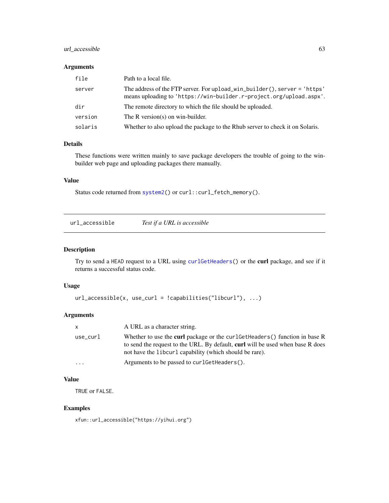# <span id="page-62-0"></span>url\_accessible 63

#### Arguments

| file    | Path to a local file.                                                                                                                            |
|---------|--------------------------------------------------------------------------------------------------------------------------------------------------|
| server  | The address of the FTP server. For upload win builder(), server = 'https'<br>means uploading to 'https://win-builder.r-project.org/upload.aspx'. |
| dir     | The remote directory to which the file should be uploaded.                                                                                       |
| version | The R version(s) on win-builder.                                                                                                                 |
| solaris | Whether to also upload the package to the Rhub server to check it on Solaris.                                                                    |

# Details

These functions were written mainly to save package developers the trouble of going to the winbuilder web page and uploading packages there manually.

# Value

Status code returned from [system2\(](#page-0-0)) or curl::curl\_fetch\_memory().

|--|

# Description

Try to send a HEAD request to a URL using [curlGetHeaders\(](#page-0-0)) or the curl package, and see if it returns a successful status code.

# Usage

```
url_accessible(x, use_curl = !capabilities("libcurl"), ...)
```
# Arguments

| $\mathsf{x}$ | A URL as a character string.                                                                                                                                                                                                     |
|--------------|----------------------------------------------------------------------------------------------------------------------------------------------------------------------------------------------------------------------------------|
| use_curl     | Whether to use the <b>curl</b> package or the curl GetHeaders () function in base R<br>to send the request to the URL. By default, curl will be used when base R does<br>not have the libcurl capability (which should be rare). |
| $\ddotsc$    | Arguments to be passed to curl GetHeaders().                                                                                                                                                                                     |

# Value

TRUE or FALSE.

# Examples

xfun::url\_accessible("https://yihui.org")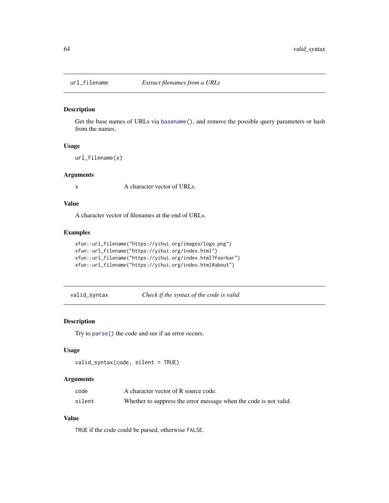<span id="page-63-1"></span><span id="page-63-0"></span>

Get the base names of URLs via [basename\(](#page-0-0)), and remove the possible query parameters or hash from the names.

#### Usage

url\_filename(x)

# Arguments

x A character vector of URLs.

# Value

A character vector of filenames at the end of URLs.

# Examples

```
xfun::url_filename("https://yihui.org/images/logo.png")
xfun::url_filename("https://yihui.org/index.html")
xfun::url_filename("https://yihui.org/index.html?foo=bar")
xfun::url_filename("https://yihui.org/index.html#about")
```
valid\_syntax *Check if the syntax of the code is valid*

# Description

Try to [parse\(](#page-0-0)) the code and see if an error occurs.

#### Usage

```
valid_syntax(code, silent = TRUE)
```
#### Arguments

| code   | A character vector of R source code.                              |
|--------|-------------------------------------------------------------------|
| silent | Whether to suppress the error message when the code is not valid. |

# Value

TRUE if the code could be parsed, otherwise FALSE.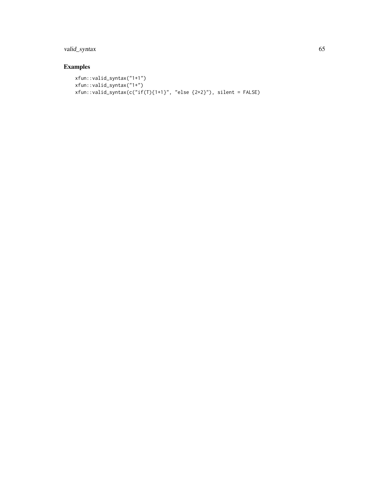# valid\_syntax 65

```
xfun::valid_syntax("1+1")
xfun::valid_syntax("1+")
xfun::valid_syntax(c("if(T){1+1}", "else {2+2}"), silent = FALSE)
```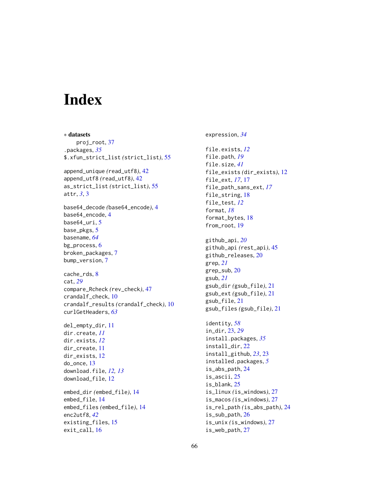# <span id="page-65-0"></span>Index

exit\_call, [16](#page-15-0)

∗ datasets proj\_root, [37](#page-36-0) .packages, *[35](#page-34-0)* \$.xfun\_strict\_list *(*strict\_list*)*, [55](#page-54-0) append\_unique *(*read\_utf8*)*, [42](#page-41-0) append\_utf8 *(*read\_utf8*)*, [42](#page-41-0) as\_strict\_list *(*strict\_list*)*, [55](#page-54-0) attr, *[3](#page-2-0)*, [3](#page-2-0) base64\_decode *(*base64\_encode*)*, [4](#page-3-0) base64\_encode, [4](#page-3-0) base64\_uri, [5](#page-4-0) base\_pkgs, [5](#page-4-0) basename, *[64](#page-63-0)* bg\_process, [6](#page-5-0) broken\_packages, [7](#page-6-0) bump\_version, [7](#page-6-0) cache\_rds, [8](#page-7-0) cat, *[29](#page-28-0)* compare\_Rcheck *(*rev\_check*)*, [47](#page-46-0) crandalf\_check, [10](#page-9-0) crandalf\_results *(*crandalf\_check*)*, [10](#page-9-0) curlGetHeaders, *[63](#page-62-0)* del\_empty\_dir, [11](#page-10-0) dir.create, *[11](#page-10-0)* dir.exists, *[12](#page-11-0)* dir\_create, [11](#page-10-0) dir\_exists, [12](#page-11-0) do\_once, [13](#page-12-0) download.file, *[12,](#page-11-0) [13](#page-12-0)* download\_file, [12](#page-11-0) embed\_dir *(*embed\_file*)*, [14](#page-13-0) embed\_file, [14](#page-13-0) embed\_files *(*embed\_file*)*, [14](#page-13-0) enc2utf8, *[42](#page-41-0)* existing\_files, [15](#page-14-0)

expression, *[34](#page-33-0)* file.exists, *[12](#page-11-0)* file.path, *[19](#page-18-0)* file.size, *[41](#page-40-0)* file\_exists *(*dir\_exists*)*, [12](#page-11-0) file\_ext, *[17](#page-16-0)*, [17](#page-16-0) file\_path\_sans\_ext, *[17](#page-16-0)* file\_string, [18](#page-17-0) file\_test, *[12](#page-11-0)* format, *[18](#page-17-0)* format\_bytes, [18](#page-17-0) from\_root, [19](#page-18-0) github\_api, *[20](#page-19-0)* github\_api *(*rest\_api*)*, [45](#page-44-0) github\_releases, [20](#page-19-0) grep, *[21](#page-20-0)* grep\_sub, [20](#page-19-0) gsub, *[21](#page-20-0)* gsub\_dir *(*gsub\_file*)*, [21](#page-20-0) gsub\_ext *(*gsub\_file*)*, [21](#page-20-0) gsub\_file, [21](#page-20-0) gsub\_files *(*gsub\_file*)*, [21](#page-20-0) identity, *[58](#page-57-0)* in\_dir, [23,](#page-22-0) *[29](#page-28-0)* install.packages, *[35](#page-34-0)* install\_dir, [22](#page-21-0) install\_github, *[23](#page-22-0)*, [23](#page-22-0) installed.packages, *[5](#page-4-0)* is\_abs\_path, [24](#page-23-0) is\_ascii, [25](#page-24-0) is\_blank, [25](#page-24-0) is\_linux *(*is\_windows*)*, [27](#page-26-0) is\_macos *(*is\_windows*)*, [27](#page-26-0) is\_rel\_path *(*is\_abs\_path*)*, [24](#page-23-0) is\_sub\_path, [26](#page-25-0) is\_unix *(*is\_windows*)*, [27](#page-26-0) is\_web\_path, [27](#page-26-0)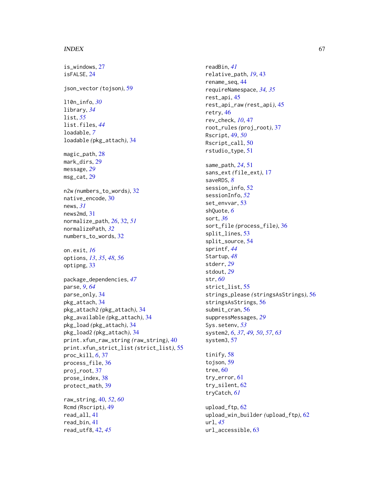#### INDEX  $67$

is\_windows, [27](#page-26-0) isFALSE, [24](#page-23-0) json\_vector *(*tojson*)*, [59](#page-58-0) l10n\_info, *[30](#page-29-0)* library, *[34](#page-33-0)* list, *[55](#page-54-0)* list.files, *[44](#page-43-0)* loadable, *[7](#page-6-0)* loadable *(*pkg\_attach*)*, [34](#page-33-0) magic\_path, [28](#page-27-0) mark\_dirs, [29](#page-28-0) message, *[29](#page-28-0)* msg\_cat, [29](#page-28-0) n2w *(*numbers\_to\_words*)*, [32](#page-31-0) native\_encode, [30](#page-29-0) news, *[31](#page-30-0)* news2md, [31](#page-30-0) normalize\_path, *[26](#page-25-0)*, [32,](#page-31-0) *[51](#page-50-0)* normalizePath, *[32](#page-31-0)* numbers\_to\_words, [32](#page-31-0) on.exit, *[16](#page-15-0)* options, *[13](#page-12-0)*, *[35](#page-34-0)*, *[48](#page-47-0)*, *[56](#page-55-0)* optipng, [33](#page-32-0) package\_dependencies, *[47](#page-46-0)* parse, *[9](#page-8-0)*, *[64](#page-63-0)* parse\_only, [34](#page-33-0) pkg\_attach, [34](#page-33-0) pkg\_attach2 *(*pkg\_attach*)*, [34](#page-33-0) pkg\_available *(*pkg\_attach*)*, [34](#page-33-0) pkg\_load *(*pkg\_attach*)*, [34](#page-33-0) pkg\_load2 *(*pkg\_attach*)*, [34](#page-33-0) print.xfun\_raw\_string *(*raw\_string*)*, [40](#page-39-0) print.xfun\_strict\_list *(*strict\_list*)*, [55](#page-54-0) proc\_kill, *[6](#page-5-0)*, [37](#page-36-0) process\_file, [36](#page-35-0) proj\_root, [37](#page-36-0) prose\_index, [38](#page-37-0) protect\_math, [39](#page-38-0) raw\_string, [40,](#page-39-0) *[52](#page-51-0)*, *[60](#page-59-0)* Rcmd *(*Rscript*)*, [49](#page-48-0) read\_all, [41](#page-40-0) read\_bin, [41](#page-40-0) read\_utf8, [42,](#page-41-0) *[45](#page-44-0)*

readBin, *[41](#page-40-0)* relative\_path, *[19](#page-18-0)*, [43](#page-42-0) rename\_seq, [44](#page-43-0) requireNamespace, *[34,](#page-33-0) [35](#page-34-0)* rest\_api, [45](#page-44-0) rest\_api\_raw *(*rest\_api*)*, [45](#page-44-0) retry, [46](#page-45-0) rev\_check, *[10](#page-9-0)*, [47](#page-46-0) root\_rules *(*proj\_root*)*, [37](#page-36-0) Rscript, [49,](#page-48-0) *[50](#page-49-0)* Rscript\_call, [50](#page-49-0) rstudio\_type, [51](#page-50-0) same\_path, *[24](#page-23-0)*, [51](#page-50-0) sans\_ext *(*file\_ext*)*, [17](#page-16-0) saveRDS, *[8](#page-7-0)* session\_info, [52](#page-51-0) sessionInfo, *[52](#page-51-0)* set\_envvar, [53](#page-52-0) shQuote, *[6](#page-5-0)* sort, *[36](#page-35-0)* sort\_file *(*process\_file*)*, [36](#page-35-0) split\_lines, [53](#page-52-0) split\_source, [54](#page-53-0) sprintf, *[44](#page-43-0)* Startup, *[48](#page-47-0)* stderr, *[29](#page-28-0)* stdout, *[29](#page-28-0)* str, *[60](#page-59-0)* strict\_list, [55](#page-54-0) strings\_please *(*stringsAsStrings*)*, [56](#page-55-0) stringsAsStrings, [56](#page-55-0) submit\_cran, [56](#page-55-0) suppressMessages, *[29](#page-28-0)* Sys.setenv, *[53](#page-52-0)* system2, *[6](#page-5-0)*, *[37](#page-36-0)*, *[49,](#page-48-0) [50](#page-49-0)*, *[57](#page-56-0)*, *[63](#page-62-0)* system3, [57](#page-56-0) tinify, [58](#page-57-0)

tojson, [59](#page-58-0) tree, [60](#page-59-0) try\_error, [61](#page-60-0) try\_silent, [62](#page-61-0) tryCatch, *[61](#page-60-0)*

upload\_ftp, [62](#page-61-0) upload\_win\_builder *(*upload\_ftp*)*, [62](#page-61-0) url, *[45](#page-44-0)* url\_accessible, [63](#page-62-0)